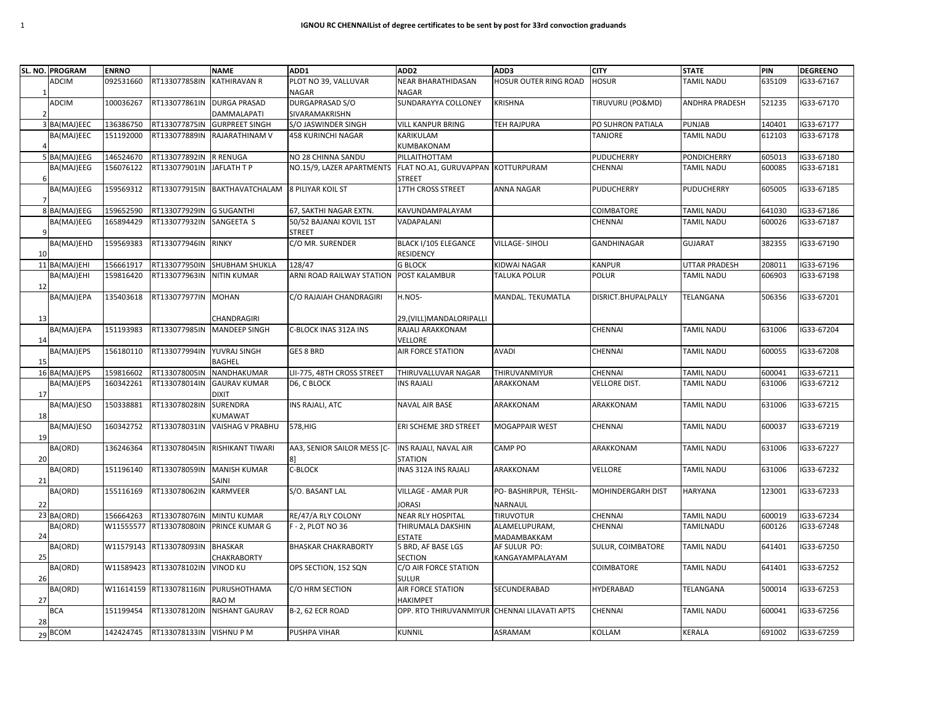| SL. NO. PROGRAM  | <b>ENRNO</b> |                            | <b>NAME</b>                    | ADD1                        | ADD <sub>2</sub>                             | ADD3                         | <b>CITY</b>         | <b>STATE</b>         | PIN    | <b>DEGREENO</b> |
|------------------|--------------|----------------------------|--------------------------------|-----------------------------|----------------------------------------------|------------------------------|---------------------|----------------------|--------|-----------------|
| <b>ADCIM</b>     | 092531660    | RT133077858IN              | <b>KATHIRAVAN R</b>            | PLOT NO 39, VALLUVAR        | <b>NEAR BHARATHIDASAN</b>                    | <b>HOSUR OUTER RING ROAD</b> | <b>HOSUR</b>        | TAMIL NADU           | 635109 | IG33-67167      |
|                  |              |                            |                                | NAGAR                       | <b>NAGAR</b>                                 |                              |                     |                      |        |                 |
| <b>ADCIM</b>     | 100036267    | RT133077861IN DURGA PRASAD |                                | DURGAPRASAD S/O             | SUNDARAYYA COLLONEY                          | KRISHNA                      | TIRUVURU (PO&MD)    | ANDHRA PRADESH       | 521235 | IG33-67170      |
|                  |              |                            | DAMMALAPATI                    | SIVARAMAKRISHN              |                                              |                              |                     |                      |        |                 |
| 3 BA(MAJ)EEC     | 136386750    | RT133077875IN              | <b>GURPREET SINGH</b>          | S/O JASWINDER SINGH         | <b>VILL KANPUR BRING</b>                     | <b>TEH RAJPURA</b>           | PO SUHRON PATIALA   | <b>PUNJAB</b>        | 140401 | IG33-67177      |
| BA(MAJ)EEC       | 151192000    | RT133077889IN              | <b>RAJARATHINAM V</b>          | 458 KURINCHI NAGAR          | KARIKULAM                                    |                              | TANJORE             | TAMIL NADU           | 612103 | G33-67178       |
|                  |              |                            |                                |                             | KUMBAKONAM                                   |                              |                     |                      |        |                 |
| 5 BA(MAJ)EEG     | 146524670    | RT133077892IN R RENUGA     |                                | NO 28 CHINNA SANDU          | PILLAITHOTTAM                                |                              | PUDUCHERRY          | <b>PONDICHERRY</b>   | 605013 | G33-67180       |
| BA(MAJ)EEG       | 156076122    | RT133077901IN              | JAFLATH T P                    | NO.15/9, LAZER APARTMENTS   | FLAT NO.A1, GURUVAPPAN<br><b>STREET</b>      | <b>KOTTURPURAM</b>           | CHENNAI             | <b>TAMIL NADU</b>    | 600085 | G33-67181       |
| BA(MAJ)EEG       | 159569312    | RT133077915IN              | BAKTHAVATCHALAM                | <b>8 PILIYAR KOIL ST</b>    | 17TH CROSS STREET                            | ANNA NAGAR                   | PUDUCHERRY          | <b>PUDUCHERRY</b>    | 605005 | G33-67185       |
| 8 BA(MAJ)EEG     | 159652590    | RT133077929IN G SUGANTHI   |                                | 67, SAKTHI NAGAR EXTN.      | KAVUNDAMPALAYAM                              |                              | COIMBATORE          | <b>TAMIL NADU</b>    | 641030 | G33-67186       |
| BA(MAJ)EEG       | 165894429    | RT133077932IN              | SANGEETA S                     | 50/52 BAJANAI KOVIL 1ST     | VADAPALANI                                   |                              | CHENNAI             | <b>TAMIL NADU</b>    | 600026 | G33-67187       |
|                  |              |                            |                                | <b>STREET</b>               |                                              |                              |                     |                      |        |                 |
| BA(MAJ)EHD<br>10 | 159569383    | RT133077946IN RINKY        |                                | C/O MR. SURENDER            | BLACK I/105 ELEGANCE<br><b>RESIDENCY</b>     | <b>VILLAGE-SIHOLI</b>        | <b>GANDHINAGAR</b>  | <b>GUJARAT</b>       | 382355 | G33-67190       |
| 11 BA(MAJ)EHI    | 156661917    | RT133077950IN              | <b>SHUBHAM SHUKLA</b>          | 128/47                      | <b>G BLOCK</b>                               | KIDWAI NAGAR                 | <b>KANPUR</b>       | <b>UTTAR PRADESH</b> | 208011 | G33-67196       |
| BA(MAJ)EHI       | 159816420    | RT133077963IN              | <b>NITIN KUMAR</b>             | ARNI ROAD RAILWAY STATION   | <b>POST KALAMBUR</b>                         | TALUKA POLUR                 | <b>POLUR</b>        | <b>TAMIL NADU</b>    | 606903 | G33-67198       |
| 12               |              |                            |                                |                             |                                              |                              |                     |                      |        |                 |
| BA(MAJ)EPA       | 135403618    | RT133077977IN              | <b>MOHAN</b>                   | C/O RAJAIAH CHANDRAGIRI     | <b>H.NO5-</b>                                | MANDAL. TEKUMATLA            | DISRICT.BHUPALPALLY | TELANGANA            | 506356 | G33-67201       |
|                  |              |                            |                                |                             |                                              |                              |                     |                      |        |                 |
| 13               |              |                            | CHANDRAGIRI                    |                             | 29,(VILL)MANDALORIPALLI                      |                              |                     |                      |        |                 |
| BA(MAJ)EPA       | 151193983    | RT133077985IN              | <b>MANDEEP SINGH</b>           | C-BLOCK INAS 312A INS       | RAJALI ARAKKONAM                             |                              | CHENNAI             | TAMIL NADU           | 631006 | IG33-67204      |
| 14               |              |                            |                                |                             | VELLORE                                      |                              |                     |                      |        |                 |
| BA(MAJ)EPS       | 156180110    | RT133077994IN YUVRAJ SINGH |                                | <b>GES 8 BRD</b>            | <b>AIR FORCE STATION</b>                     | <b>AVADI</b>                 | CHENNAI             | <b>TAMIL NADU</b>    | 600055 | G33-67208       |
| 15               |              |                            | <b>BAGHEL</b>                  |                             |                                              |                              |                     |                      |        |                 |
| 16 BA(MAJ)EPS    | 159816602    | RT133078005IN              | NANDHAKUMAR                    | LII-775, 48TH CROSS STREET  | THIRUVALLUVAR NAGAR                          | THIRUVANMIYUR                | CHENNAI             | <b>TAMIL NADU</b>    | 600041 | G33-67211       |
| BA(MAJ)EPS       | 160342261    | RT133078014IN              | <b>GAURAV KUMAR</b>            | D6, C BLOCK                 | <b>INS RAJALI</b>                            | ARAKKONAM                    | VELLORE DIST.       | TAMIL NADU           | 631006 | G33-67212       |
| 17               |              |                            | <b>DIXIT</b>                   |                             |                                              |                              |                     |                      |        |                 |
| BA(MAJ)ESO       | 150338881    | RT133078028IN              | SURENDRA                       | INS RAJALI, ATC             | <b>NAVAL AIR BASE</b>                        | ARAKKONAM                    | ARAKKONAM           | <b>TAMIL NADU</b>    | 631006 | G33-67215       |
| 18               |              |                            | KUMAWAT                        |                             |                                              |                              |                     |                      |        |                 |
| BA(MAJ)ESO       | 160342752    | RT133078031IN              | <b>VAISHAG V PRABHU</b>        | 578, HIG                    | ERI SCHEME 3RD STREET                        | <b>MOGAPPAIR WEST</b>        | CHENNAI             | <b>TAMIL NADU</b>    | 600037 | G33-67219       |
| 19               |              |                            |                                |                             |                                              |                              |                     |                      |        |                 |
| BA(ORD)          | 136246364    |                            | RT133078045IN RISHIKANT TIWARI | AA3, SENIOR SAILOR MESS [C- | INS RAJALI, NAVAL AIR                        | CAMP PO                      | ARAKKONAM           | <b>TAMIL NADU</b>    | 631006 | IG33-67227      |
| 20               |              |                            |                                |                             | STATION                                      |                              |                     |                      |        |                 |
| BA(ORD)<br>21    | 151196140    | RT133078059IN              | <b>MANISH KUMAR</b><br>SAINI   | C-BLOCK                     | INAS 312A INS RAJALI                         | ARAKKONAM                    | VELLORE             | <b>TAMIL NADU</b>    | 631006 | IG33-67232      |
| BA(ORD)          | 155116169    | RT133078062IN              | <b>KARMVEER</b>                | S/O. BASANT LAL             | <b>VILLAGE - AMAR PUR</b>                    | PO- BASHIRPUR, TEHSIL-       | MOHINDERGARH DIST   | HARYANA              | 123001 | IG33-67233      |
| 22               |              |                            |                                |                             | <b>JORASI</b>                                | NARNAUL                      |                     |                      |        |                 |
| 23 BA(ORD)       | 156664263    | RT133078076IN              | <b>MINTU KUMAR</b>             | RE/47/A RLY COLONY          | <b>NEAR RLY HOSPITAL</b>                     | <b>TIRUVOTUR</b>             | CHENNAI             | TAMIL NADU           | 600019 | G33-67234       |
| BA(ORD)          | W11555577    | RT133078080IN              | PRINCE KUMAR G                 | F - 2, PLOT NO 36           | THIRUMALA DAKSHIN                            | ALAMELUPURAM,                | CHENNAI             | TAMILNADU            | 600126 | G33-67248       |
| 24               |              |                            |                                |                             | <b>ESTATE</b>                                | MADAMBAKKAM                  |                     |                      |        |                 |
| BA(ORD)          | W11579143    | RT133078093IN              | <b>BHASKAR</b>                 | <b>BHASKAR CHAKRABORTY</b>  | 5 BRD, AF BASE LGS                           | AF SULUR PO:                 | SULUR, COIMBATORE   | <b>TAMIL NADU</b>    | 641401 | G33-67250       |
| 25               |              |                            | CHAKRABORTY                    |                             | <b>SECTION</b>                               | KANGAYAMPALAYAM              |                     |                      |        |                 |
| BA(ORD)          | W11589423    | RT133078102IN              | <b>VINOD KU</b>                | OPS SECTION, 152 SQN        | C/O AIR FORCE STATION                        |                              | COIMBATORE          | <b>TAMIL NADU</b>    | 641401 | G33-67252       |
| 26               |              |                            |                                |                             | <b>SULUR</b>                                 |                              |                     |                      |        |                 |
| BA(ORD)          |              | W11614159 RT133078116IN    | PURUSHOTHAMA                   | C/O HRM SECTION             | <b>AIR FORCE STATION</b>                     | SECUNDERABAD                 | HYDERABAD           | TELANGANA            | 500014 | IG33-67253      |
| 27               |              |                            | RAO M                          |                             | HAKIMPET                                     |                              |                     |                      |        |                 |
| <b>BCA</b>       | 151199454    | RT133078120IN              | <b>NISHANT GAURAV</b>          | <b>B-2, 62 ECR ROAD</b>     | OPP. RTO THIRUVANMIYUR CHENNAI LILAVATI APTS |                              | CHENNAI             | TAMIL NADU           | 600041 | IG33-67256      |
| 28               |              |                            |                                |                             |                                              |                              |                     |                      |        |                 |
| 29 BCOM          | 142424745    | RT133078133IN              | <b>VISHNUPM</b>                | PUSHPA VIHAR                | <b>KUNNIL</b>                                | ASRAMAM                      | KOLLAM              | KERALA               | 691002 | IG33-67259      |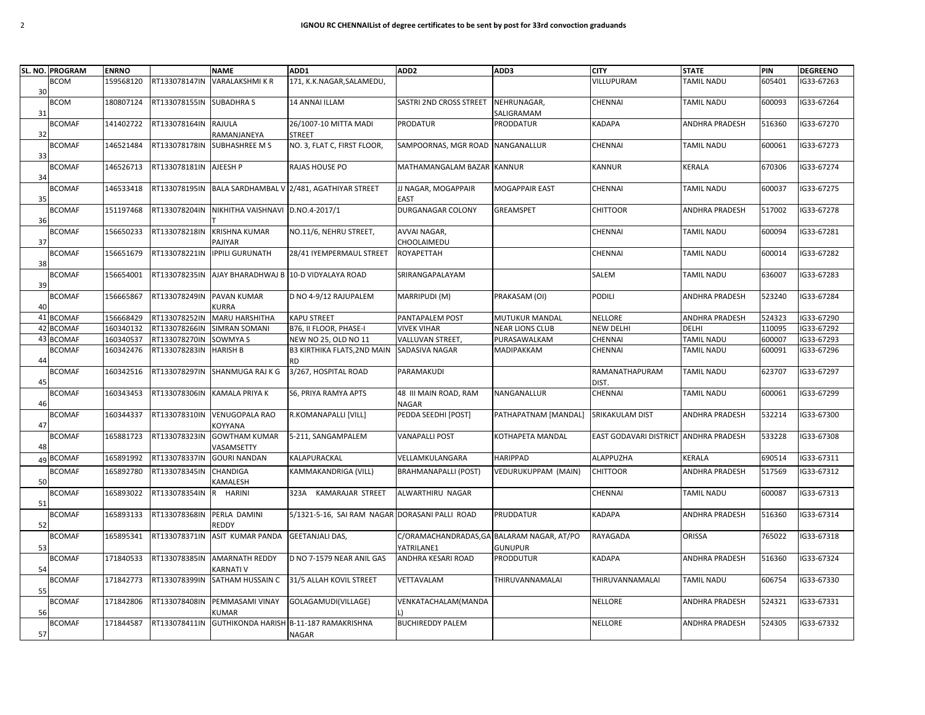|    | SL. NO. PROGRAM | <b>ENRNO</b> |               | <b>NAME</b>                      | ADD1                                           | ADD <sub>2</sub>                           | ADD3                   | <b>CITY</b>                           | <b>STATE</b>          | PIN    | <b>DEGREENO</b> |
|----|-----------------|--------------|---------------|----------------------------------|------------------------------------------------|--------------------------------------------|------------------------|---------------------------------------|-----------------------|--------|-----------------|
|    | <b>BCOM</b>     | 159568120    | RT133078147IN | <b>VARALAKSHMI K R</b>           | 171, K.K.NAGAR, SALAMEDU,                      |                                            |                        | VILLUPURAM                            | TAMIL NADU            | 605401 | IG33-67263      |
| 30 |                 |              |               |                                  |                                                |                                            |                        |                                       |                       |        |                 |
|    | <b>BCOM</b>     | 180807124    | RT133078155IN | <b>SUBADHRA S</b>                | 14 ANNAI ILLAM                                 | SASTRI 2ND CROSS STREET                    | NEHRUNAGAR,            | <b>CHENNAI</b>                        | TAMIL NADU            | 600093 | IG33-67264      |
|    |                 |              |               |                                  |                                                |                                            | SALIGRAMAM             |                                       |                       |        |                 |
| 31 |                 |              |               |                                  |                                                |                                            |                        |                                       |                       |        |                 |
|    | <b>BCOMAF</b>   | 141402722    | RT133078164IN | RAJULA                           | 26/1007-10 MITTA MADI                          | <b>PRODATUR</b>                            | <b>PRODDATUR</b>       | <b>KADAPA</b>                         | <b>ANDHRA PRADESH</b> | 516360 | IG33-67270      |
| 32 |                 |              |               | RAMANJANEYA                      | <b>STREET</b>                                  |                                            |                        |                                       |                       |        |                 |
|    | <b>BCOMAF</b>   | 146521484    | RT133078178IN | <b>SUBHASHREE M S</b>            | NO. 3, FLAT C, FIRST FLOOR,                    | SAMPOORNAS, MGR ROAD                       | NANGANALLUR            | CHENNAI                               | TAMIL NADU            | 600061 | IG33-67273      |
| 33 |                 |              |               |                                  |                                                |                                            |                        |                                       |                       |        |                 |
|    | <b>BCOMAF</b>   | 146526713    | RT133078181IN | AJEESH P                         | RAJAS HOUSE PO                                 | MATHAMANGALAM BAZAR KANNUR                 |                        | <b>KANNUR</b>                         | KERALA                | 670306 | IG33-67274      |
| 34 |                 |              |               |                                  |                                                |                                            |                        |                                       |                       |        |                 |
|    | <b>BCOMAF</b>   | 146533418    | RT133078195IN |                                  | BALA SARDHAMBAL V 2/481, AGATHIYAR STREET      | JJ NAGAR, MOGAPPAIR                        | <b>MOGAPPAIR EAST</b>  | CHENNAI                               | TAMIL NADU            | 600037 | IG33-67275      |
| 35 |                 |              |               |                                  |                                                | <b>EAST</b>                                |                        |                                       |                       |        |                 |
|    | <b>BCOMAF</b>   | 151197468    | RT133078204IN | NIKHITHA VAISHNAVI D.NO.4-2017/1 |                                                | DURGANAGAR COLONY                          | GREAMSPET              | <b>CHITTOOR</b>                       | <b>ANDHRA PRADESH</b> | 517002 | IG33-67278      |
|    |                 |              |               |                                  |                                                |                                            |                        |                                       |                       |        |                 |
| 36 |                 |              |               |                                  |                                                |                                            |                        |                                       |                       |        |                 |
|    | <b>BCOMAF</b>   | 156650233    | RT133078218IN | <b>KRISHNA KUMAR</b>             | NO.11/6, NEHRU STREET,                         | AVVAI NAGAR,                               |                        | CHENNAI                               | TAMIL NADU            | 600094 | IG33-67281      |
| 37 |                 |              |               | PAJIYAR                          |                                                | CHOOLAIMEDU                                |                        |                                       |                       |        |                 |
|    | <b>BCOMAF</b>   | 156651679    | RT133078221IN | <b>IPPILI GURUNATH</b>           | 28/41 IYEMPERMAUL STREET                       | <b>ROYAPETTAH</b>                          |                        | CHENNAI                               | TAMIL NADU            | 600014 | IG33-67282      |
| 38 |                 |              |               |                                  |                                                |                                            |                        |                                       |                       |        |                 |
|    | <b>BCOMAF</b>   | 156654001    | RT133078235IN |                                  | AJAY BHARADHWAJ B 10-D VIDYALAYA ROAD          | SRIRANGAPALAYAM                            |                        | SALEM                                 | TAMIL NADU            | 636007 | IG33-67283      |
| 39 |                 |              |               |                                  |                                                |                                            |                        |                                       |                       |        |                 |
|    | <b>BCOMAF</b>   | 156665867    | RT133078249IN | PAVAN KUMAR                      | D NO 4-9/12 RAJUPALEM                          | MARRIPUDI (M)                              | PRAKASAM (OI)          | <b>PODILI</b>                         | ANDHRA PRADESH        | 523240 | IG33-67284      |
|    |                 |              |               |                                  |                                                |                                            |                        |                                       |                       |        |                 |
| 40 |                 |              |               | <b>KURRA</b>                     |                                                |                                            |                        |                                       |                       |        |                 |
|    | 41 BCOMAF       | 156668429    | RT133078252IN | MARU HARSHITHA                   | <b>KAPU STREET</b>                             | PANTAPALEM POST                            | MUTUKUR MANDAL         | <b>NELLORE</b>                        | ANDHRA PRADESH        | 524323 | G33-67290       |
|    | 42 BCOMAF       | 160340132    | RT133078266IN | <b>SIMRAN SOMANI</b>             | B76, II FLOOR, PHASE-I                         | <b>VIVEK VIHAR</b>                         | <b>NEAR LIONS CLUB</b> | <b>NEW DELHI</b>                      | <b>DELHI</b>          | 110095 | IG33-67292      |
|    | 43 BCOMAF       | 160340537    | RT133078270IN | SOWMYA S                         | NEW NO 25, OLD NO 11                           | VALLUVAN STREET,                           | PURASAWALKAM           | <b>CHENNAI</b>                        | TAMIL NADU            | 600007 | IG33-67293      |
|    | <b>BCOMAF</b>   | 160342476    | RT133078283IN | <b>HARISH B</b>                  | <b>B3 KIRTHIKA FLATS, 2ND MAIN</b>             | <b>SADASIVA NAGAR</b>                      | MADIPAKKAM             | CHENNAI                               | TAMIL NADU            | 600091 | IG33-67296      |
| 44 |                 |              |               |                                  | <b>RD</b>                                      |                                            |                        |                                       |                       |        |                 |
|    | <b>BCOMAF</b>   | 160342516    | RT133078297IN | SHANMUGA RAJ K G                 | 3/267, HOSPITAL ROAD                           | PARAMAKUDI                                 |                        | RAMANATHAPURAM                        | <b>TAMIL NADU</b>     | 623707 | IG33-67297      |
|    |                 |              |               |                                  |                                                |                                            |                        |                                       |                       |        |                 |
| 45 |                 |              |               |                                  |                                                |                                            |                        | DIST.                                 |                       |        |                 |
|    | <b>BCOMAF</b>   | 160343453    | RT133078306IN | <b>KAMALA PRIYA K</b>            | S6, PRIYA RAMYA APTS                           | 48 III MAIN ROAD, RAM                      | <b>NANGANALLUR</b>     | <b>CHENNAI</b>                        | <b>TAMIL NADU</b>     | 600061 | IG33-67299      |
| 46 |                 |              |               |                                  |                                                | <b>NAGAR</b>                               |                        |                                       |                       |        |                 |
|    | <b>BCOMAF</b>   | 160344337    | RT133078310IN | <b>VENUGOPALA RAO</b>            | R.KOMANAPALLI [VILL]                           | PEDDA SEEDHI [POST]                        | PATHAPATNAM [MANDAL]   | SRIKAKULAM DIST                       | ANDHRA PRADESH        | 532214 | IG33-67300      |
| 47 |                 |              |               | <b>KOYYANA</b>                   |                                                |                                            |                        |                                       |                       |        |                 |
|    | <b>BCOMAF</b>   | 165881723    | RT133078323IN | <b>GOWTHAM KUMAR</b>             | 5-211, SANGAMPALEM                             | <b>VANAPALLI POST</b>                      | KOTHAPETA MANDAL       | EAST GODAVARI DISTRICT ANDHRA PRADESH |                       | 533228 | IG33-67308      |
| 48 |                 |              |               | VASAMSETTY                       |                                                |                                            |                        |                                       |                       |        |                 |
| 49 | <b>BCOMAF</b>   | 165891992    | RT133078337IN | <b>GOURI NANDAN</b>              | KALAPURACKAL                                   | VELLAMKULANGARA                            | <b>HARIPPAD</b>        | ALAPPUZHA                             | <b>KERALA</b>         | 690514 | IG33-67311      |
|    |                 |              |               |                                  |                                                |                                            |                        |                                       |                       |        |                 |
|    | <b>BCOMAF</b>   | 165892780    | RT133078345IN | CHANDIGA                         | KAMMAKANDRIGA (VILL)                           | <b>BRAHMANAPALLI (POST)</b>                | VEDURUKUPPAM (MAIN)    | <b>CHITTOOR</b>                       | ANDHRA PRADESH        | 517569 | IG33-67312      |
| 50 |                 |              |               | KAMALESH                         |                                                |                                            |                        |                                       |                       |        |                 |
|    | <b>BCOMAF</b>   | 165893022    | RT133078354IN | <b>HARINI</b>                    | <b>KAMARAJAR STREET</b><br>323A                | ALWARTHIRU NAGAR                           |                        | CHENNAI                               | TAMIL NADU            | 600087 | IG33-67313      |
| 51 |                 |              |               |                                  |                                                |                                            |                        |                                       |                       |        |                 |
|    | <b>BCOMAF</b>   | 165893133    | RT133078368IN | PERLA DAMINI                     | 5/1321-5-16, SAI RAM NAGAR DORASANI PALLI ROAD |                                            | <b>PRUDDATUR</b>       | KADAPA                                | ANDHRA PRADESH        | 516360 | IG33-67314      |
| 52 |                 |              |               | REDDY                            |                                                |                                            |                        |                                       |                       |        |                 |
|    | <b>BCOMAF</b>   | 165895341    | RT133078371IN | ASIT KUMAR PANDA                 | <b>GEETANJALI DAS,</b>                         | C/ORAMACHANDRADAS, GA BALARAM NAGAR, AT/PO |                        | RAYAGADA                              | ORISSA                | 765022 | IG33-67318      |
|    |                 |              |               |                                  |                                                |                                            |                        |                                       |                       |        |                 |
| 53 |                 |              |               |                                  |                                                | YATRILANE1                                 | <b>GUNUPUR</b>         |                                       |                       |        |                 |
|    | <b>BCOMAF</b>   | 171840533    | RT133078385IN | <b>AMARNATH REDDY</b>            | D NO 7-1579 NEAR ANIL GAS                      | ANDHRA KESARI ROAD                         | <b>PRODDUTUR</b>       | <b>KADAPA</b>                         | ANDHRA PRADESH        | 516360 | IG33-67324      |
| 54 |                 |              |               | KARNATI V                        |                                                |                                            |                        |                                       |                       |        |                 |
|    | <b>BCOMAF</b>   | 171842773    | RT133078399IN |                                  | SATHAM HUSSAIN C 31/5 ALLAH KOVIL STREET       | VETTAVALAM                                 | THIRUVANNAMALAI        | THIRUVANNAMALAI                       | <b>TAMIL NADU</b>     | 606754 | IG33-67330      |
| 55 |                 |              |               |                                  |                                                |                                            |                        |                                       |                       |        |                 |
|    | <b>BCOMAF</b>   | 171842806    | RT133078408IN | PEMMASAMI VINAY                  | GOLAGAMUDI(VILLAGE)                            | VENKATACHALAM(MANDA                        |                        | <b>NELLORE</b>                        | ANDHRA PRADESH        | 524321 | IG33-67331      |
| 56 |                 |              |               | <b>KUMAR</b>                     |                                                |                                            |                        |                                       |                       |        |                 |
|    | <b>BCOMAF</b>   | 171844587    |               |                                  | GUTHIKONDA HARISH B-11-187 RAMAKRISHNA         | <b>BUCHIREDDY PALEM</b>                    |                        | <b>NELLORE</b>                        |                       | 524305 | IG33-67332      |
|    |                 |              | RT133078411IN |                                  |                                                |                                            |                        |                                       | <b>ANDHRA PRADESH</b> |        |                 |
| 57 |                 |              |               |                                  | NAGAR                                          |                                            |                        |                                       |                       |        |                 |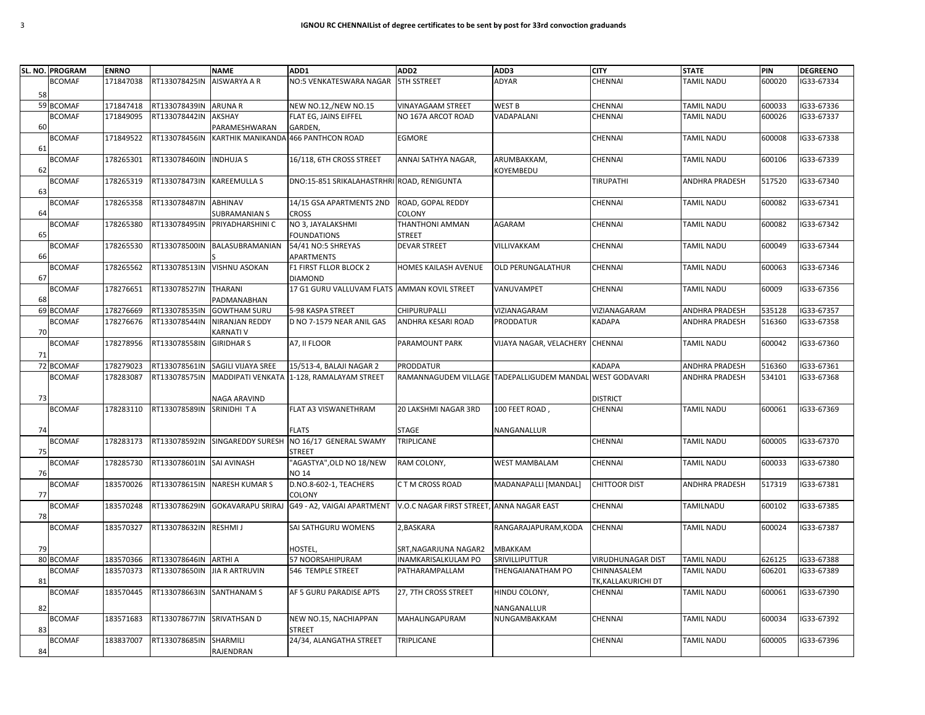| <b>BCOMAF</b><br>171847038<br>RT133078425IN<br>AISWARYA A R<br>NO:5 VENKATESWARA NAGAR<br><b>5TH SSTREET</b><br><b>ADYAR</b><br>CHENNAI                         | <b>TAMIL NADU</b> |        |            |
|-----------------------------------------------------------------------------------------------------------------------------------------------------------------|-------------------|--------|------------|
|                                                                                                                                                                 |                   | 600020 | IG33-67334 |
| 58                                                                                                                                                              |                   |        |            |
| 59 BCOMAF<br>NEW NO.12,/NEW NO.15<br>171847418<br>RT133078439IN<br><b>ARUNA R</b><br><b>VINAYAGAAM STREET</b><br><b>WEST B</b><br><b>CHENNAI</b>                | <b>TAMIL NADU</b> | 600033 | IG33-67336 |
| <b>BCOMAF</b><br>171849095<br>RT133078442IN<br>AKSHAY<br>FLAT EG, JAINS EIFFEL<br>NO 167A ARCOT ROAD<br>VADAPALANI<br>CHENNAI                                   | <b>TAMIL NADU</b> | 600026 | IG33-67337 |
| <b>60</b><br>PARAMESHWARAN<br>GARDEN.                                                                                                                           |                   |        |            |
| 171849522<br>KARTHIK MANIKANDA 466 PANTHCON ROAD<br><b>BCOMAF</b><br>RT133078456IN<br>EGMORE<br>CHENNAI                                                         | TAMIL NADU        | 600008 | IG33-67338 |
| 61                                                                                                                                                              |                   |        |            |
| <b>BCOMAF</b><br>178265301<br>RT133078460IN<br><b>INDHUJA S</b><br>16/118, 6TH CROSS STREET<br>ANNAI SATHYA NAGAR,<br>ARUMBAKKAM,<br>CHENNAI<br>62<br>KOYEMBEDU | <b>TAMIL NADU</b> | 600106 | IG33-67339 |
| <b>KAREEMULLA S</b><br><b>BCOMAF</b><br>178265319<br>RT133078473IN<br>DNO:15-851 SRIKALAHASTRHRI ROAD, RENIGUNTA<br>TIRUPATHI                                   | ANDHRA PRADESH    | 517520 | IG33-67340 |
| 63                                                                                                                                                              |                   |        |            |
| <b>BCOMAF</b><br>178265358<br>RT133078487IN<br>ABHINAV<br>14/15 GSA APARTMENTS 2ND<br>ROAD, GOPAL REDDY<br>CHENNAI                                              | TAMIL NADU        | 600082 | IG33-67341 |
| COLONY<br>64<br>SUBRAMANIAN S<br><b>CROSS</b>                                                                                                                   |                   |        |            |
| RT133078495IN<br>NO 3, JAYALAKSHMI<br>THANTHONI AMMAN<br><b>BCOMAF</b><br>178265380<br>PRIYADHARSHINI C<br><b>AGARAM</b><br>CHENNAI                             | TAMIL NADU        | 600082 | IG33-67342 |
| 65<br><b>FOUNDATIONS</b><br>STREET                                                                                                                              |                   |        |            |
| <b>BCOMAF</b><br>178265530<br>RT133078500IN<br>BALASUBRAMANIAN<br>54/41 NO:5 SHREYAS<br><b>DEVAR STREET</b><br>VILLIVAKKAM<br>CHENNAI                           | TAMIL NADU        | 600049 | IG33-67344 |
| APARTMENTS<br>66                                                                                                                                                |                   |        |            |
| RT133078513IN<br><b>BCOMAF</b><br>178265562<br><b>VISHNU ASOKAN</b><br>F1 FIRST FLLOR BLOCK 2<br>HOMES KAILASH AVENUE<br><b>OLD PERUNGALATHUR</b><br>CHENNAI    | TAMIL NADU        | 600063 | IG33-67346 |
| 67<br><b>DIAMOND</b>                                                                                                                                            |                   |        |            |
| <b>BCOMAF</b><br>178276651<br>RT133078527IN<br><b>THARANI</b><br>17 G1 GURU VALLUVAM FLATS AMMAN KOVIL STREET<br>VANUVAMPET<br>CHENNAI<br>68<br>PADMANABHAN     | TAMIL NADU        | 60009  | IG33-67356 |
| 69 BCOMAF<br>178276669<br><b>GOWTHAM SURU</b><br>5-98 KASPA STREET<br>VIZIANAGARAM<br>VIZIANAGARAM<br>RT133078535IN<br>CHIPURUPALLI                             | ANDHRA PRADESH    | 535128 | IG33-67357 |
| <b>BCOMAF</b><br>178276676<br>RT133078544IN<br>ANDHRA KESARI ROAD<br>PRODDATUR<br>NIRANJAN REDDY<br>D NO 7-1579 NEAR ANIL GAS<br><b>KADAPA</b>                  | ANDHRA PRADESH    | 516360 | IG33-67358 |
| 70<br>KARNATI V                                                                                                                                                 |                   |        |            |
| <b>BCOMAF</b><br>178278956<br>RT133078558IN<br>A7, II FLOOR<br><b>GIRIDHAR S</b><br>PARAMOUNT PARK<br>VIJAYA NAGAR, VELACHERY<br><b>CHENNAI</b>                 | TAMIL NADU        | 600042 | IG33-67360 |
| 71                                                                                                                                                              |                   |        |            |
| 72 BCOMAF<br>178279023<br>SAGILI VIJAYA SREE<br>RT133078561IN<br>15/513-4, BALAJI NAGAR 2<br>PRODDATUR<br>KADAPA                                                | ANDHRA PRADESH    | 516360 | IG33-67361 |
| <b>BCOMAF</b><br>178283087<br>RAMANNAGUDEM VILLAGE TADEPALLIGUDEM MANDAL<br><b>WEST GODAVARI</b><br>RT133078575IN<br>MADDIPATI VENKATA 1-128, RAMALAYAM STREET  | ANDHRA PRADESH    | 534101 | IG33-67368 |
|                                                                                                                                                                 |                   |        |            |
| 73<br>NAGA ARAVIND<br>DISTRICT                                                                                                                                  |                   |        |            |
| <b>BCOMAF</b><br>178283110<br>RT133078589IN<br>SRINIDHI TA<br>FLAT A3 VISWANETHRAM<br>20 LAKSHMI NAGAR 3RD<br>100 FEET ROAD,<br>CHENNAI                         | TAMIL NADU        | 600061 | IG33-67369 |
| STAGE<br><b>FLATS</b><br>NANGANALLUR<br>74                                                                                                                      |                   |        |            |
| NO 16/17 GENERAL SWAMY<br><b>BCOMAF</b><br>178283173<br>RT133078592IN<br>SINGAREDDY SURESH<br>TRIPLICANE<br>CHENNAI                                             | TAMIL NADU        | 600005 | IG33-67370 |
| 75<br><b>STREET</b>                                                                                                                                             |                   |        |            |
| "AGASTYA", OLD NO 18/NEW<br><b>BCOMAF</b><br>178285730<br>RT133078601IN<br><b>SAI AVINASH</b><br><b>WEST MAMBALAM</b><br>RAM COLONY,<br>CHENNAI                 | <b>TAMIL NADU</b> | 600033 | IG33-67380 |
| 76<br><b>NO 14</b>                                                                                                                                              |                   |        |            |
| <b>BCOMAF</b><br>183570026<br>RT133078615IN<br>NARESH KUMAR S<br>D.NO.8-602-1, TEACHERS<br>C T M CROSS ROAD<br>MADANAPALLI [MANDAL]<br><b>CHITTOOR DIST</b>     | ANDHRA PRADESH    | 517319 | IG33-67381 |
| 77<br>COLONY                                                                                                                                                    |                   |        |            |
| <b>BCOMAF</b><br>183570248<br>RT133078629IN<br><b>GOKAVARAPU SRIRAJ</b><br>G49 - A2, VAIGAI APARTMENT<br>V.O.C NAGAR FIRST STREET, ANNA NAGAR EAST<br>CHENNAI   | TAMILNADU         | 600102 | IG33-67385 |
| 78                                                                                                                                                              |                   |        |            |
| 183570327<br><b>BCOMAF</b><br>RT133078632IN<br>RESHMI J<br>SAI SATHGURU WOMENS<br>2, BASKARA<br>RANGARAJAPURAM, KODA<br>CHENNAI                                 | TAMIL NADU        | 600024 | IG33-67387 |
| HOSTEL<br>SRT, NAGARJUNA NAGAR2<br><b>MBAKKAM</b><br>79                                                                                                         |                   |        |            |
| 80 BCOMAF<br>183570366<br>RT133078646IN<br>ARTHI A<br>57 NOORSAHIPURAM<br>NAMKARISALKULAM PO<br>SRIVILLIPUTTUR<br>VIRUDHUNAGAR DIST                             | TAMIL NADU        | 626125 | IG33-67388 |
| <b>BCOMAF</b><br>183570373<br><b>JIA R ARTRUVIN</b><br>PATHARAMPALLAM<br>THENGAIANATHAM PO<br>RT133078650IN<br>546 TEMPLE STREET<br>CHINNASALEM                 | TAMIL NADU        | 606201 | IG33-67389 |
| 81<br>TK,KALLAKURICHI DT                                                                                                                                        |                   |        |            |
| <b>BCOMAF</b><br>183570445<br>RT133078663IN<br><b>SANTHANAM S</b><br>AF 5 GURU PARADISE APTS<br>27, 7TH CROSS STREET<br>HINDU COLONY,<br>CHENNAI                | TAMIL NADU        | 600061 | IG33-67390 |
| 82<br>NANGANALLUR                                                                                                                                               |                   |        |            |
| <b>BCOMAF</b><br>183571683<br>RT133078677IN<br>SRIVATHSAN D<br>NEW NO.15, NACHIAPPAN<br>CHENNAI<br>MAHALINGAPURAM<br>NUNGAMBAKKAM                               | TAMIL NADU        | 600034 | IG33-67392 |
| 83<br>STREET                                                                                                                                                    |                   |        |            |
| <b>BCOMAF</b><br>183837007<br>RT133078685IN<br>SHARMILI<br>24/34, ALANGATHA STREET<br>TRIPLICANE<br>CHENNAI                                                     | TAMIL NADU        | 600005 | IG33-67396 |
| RAJENDRAN<br>84                                                                                                                                                 |                   |        |            |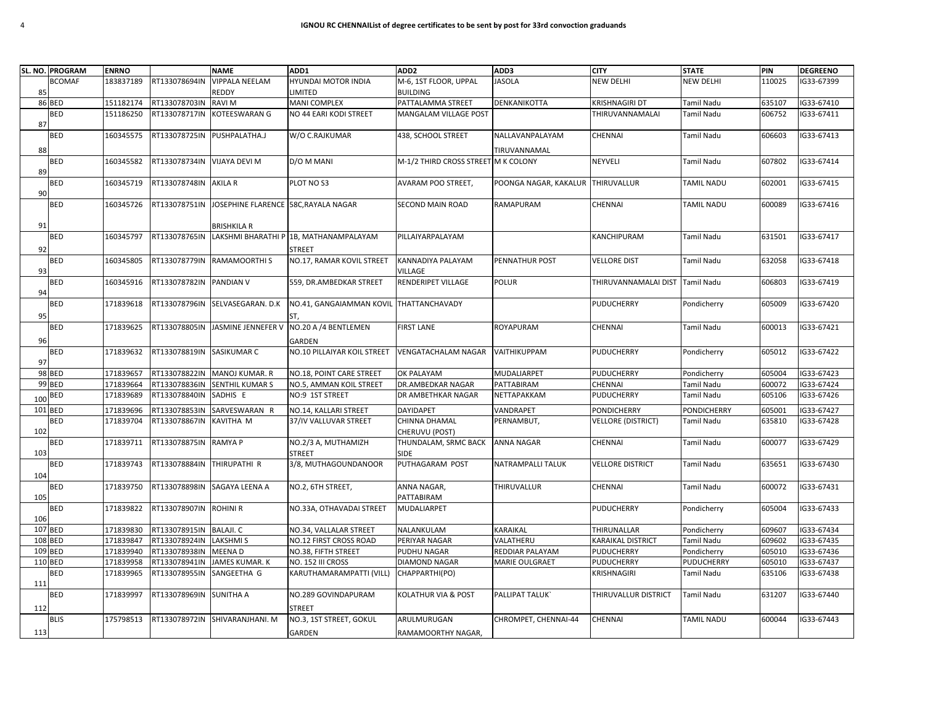|         | SL. NO. PROGRAM | <b>ENRNO</b> |                            | <b>NAME</b>                          | ADD1                                    | ADD <sub>2</sub>                    | ADD3                  | <b>CITY</b>                     | <b>STATE</b>                     | PIN    | <b>DEGREENO</b> |
|---------|-----------------|--------------|----------------------------|--------------------------------------|-----------------------------------------|-------------------------------------|-----------------------|---------------------------------|----------------------------------|--------|-----------------|
|         | <b>BCOMAF</b>   | 183837189    | RT133078694IN              | <b>VIPPALA NEELAM</b>                | HYUNDAI MOTOR INDIA                     | M-6, 1ST FLOOR, UPPAL               | <b>JASOLA</b>         | <b>NEW DELHI</b>                | <b>NEW DELHI</b>                 | 110025 | IG33-67399      |
| 85      |                 |              |                            | REDDY                                | LIMITED                                 | <b>BUILDING</b>                     |                       |                                 |                                  |        |                 |
|         | 86 BED          | 151182174    | RT133078703IN              | <b>RAVIM</b>                         | <b>MANI COMPLEX</b>                     | PATTALAMMA STREET                   | DENKANIKOTTA          | <b>KRISHNAGIRI DT</b>           | Tamil Nadu                       | 635107 | IG33-67410      |
|         | <b>BED</b>      | 151186250    | RT133078717IN              | KOTEESWARAN G                        | NO 44 EARI KODI STREET                  | <b>MANGALAM VILLAGE POST</b>        |                       | THIRUVANNAMALAI                 | <b>Tamil Nadu</b>                | 606752 | IG33-67411      |
| 87      |                 |              |                            |                                      |                                         |                                     |                       |                                 |                                  |        |                 |
|         | <b>BED</b>      | 160345575    | RT133078725IN              | PUSHPALATHA.J                        | W/O C.RAJKUMAR                          | 438, SCHOOL STREET                  | NALLAVANPALAYAM       | CHENNAI                         | <b>Tamil Nadu</b>                | 606603 | IG33-67413      |
| 88      |                 |              |                            |                                      |                                         |                                     | TIRUVANNAMAL          |                                 |                                  |        |                 |
|         | <b>BED</b>      | 160345582    | RT133078734IN              | VIJAYA DEVI M                        | D/O M MANI                              | M-1/2 THIRD CROSS STREET M K COLONY |                       | NEYVELI                         | <b>Tamil Nadu</b>                | 607802 | IG33-67414      |
| 89      |                 |              |                            |                                      |                                         |                                     |                       |                                 |                                  |        |                 |
|         | <b>BED</b>      | 160345719    | RT133078748IN AKILA R      |                                      | PLOT NO S3                              | <b>AVARAM POO STREET,</b>           | POONGA NAGAR, KAKALUR | THIRUVALLUR                     | <b>TAMIL NADU</b>                | 602001 | IG33-67415      |
| 90      |                 |              |                            |                                      |                                         |                                     |                       |                                 |                                  |        |                 |
|         | <b>BED</b>      | 160345726    | RT133078751IN              | JOSEPHINE FLARENCE 58C, RAYALA NAGAR |                                         | SECOND MAIN ROAD                    | RAMAPURAM             | CHENNAI                         | <b>TAMIL NADU</b>                | 600089 | G33-67416       |
|         |                 |              |                            |                                      |                                         |                                     |                       |                                 |                                  |        |                 |
| 91      |                 |              |                            | <b>BRISHKILA R</b>                   |                                         |                                     |                       |                                 |                                  |        |                 |
|         | <b>BED</b>      | 160345797    | RT133078765IN              |                                      | LAKSHMI BHARATHI P 1B, MATHANAMPALAYAM  | PILLAIYARPALAYAM                    |                       | KANCHIPURAM                     | <b>Tamil Nadu</b>                | 631501 | IG33-67417      |
|         |                 |              |                            |                                      |                                         |                                     |                       |                                 |                                  |        |                 |
| 92      |                 |              |                            |                                      | STREET                                  |                                     |                       |                                 |                                  |        |                 |
|         | <b>BED</b>      | 160345805    |                            | RT133078779IN RAMAMOORTHIS           | NO.17, RAMAR KOVIL STREET               | <b>KANNADIYA PALAYAM</b>            | PENNATHUR POST        | <b>VELLORE DIST</b>             | <b>Tamil Nadu</b>                | 632058 | IG33-67418      |
| 93      |                 |              |                            |                                      |                                         | VILLAGE                             |                       |                                 |                                  |        |                 |
|         | <b>BED</b>      | 160345916    | RT133078782IN PANDIAN V    |                                      | 559, DR.AMBEDKAR STREET                 | RENDERIPET VILLAGE                  | <b>POLUR</b>          | THIRUVANNAMALAI DIST            | <b>Tamil Nadu</b>                | 606803 | IG33-67419      |
| 94      |                 |              |                            |                                      |                                         |                                     |                       |                                 |                                  |        |                 |
|         | <b>BED</b>      | 171839618    |                            | RT133078796IN SELVASEGARAN. D.K      | NO.41, GANGAIAMMAN KOVIL THATTANCHAVADY |                                     |                       | <b>PUDUCHERRY</b>               | Pondicherry                      | 605009 | G33-67420       |
| 95      |                 |              |                            |                                      | ST,                                     |                                     |                       |                                 |                                  |        |                 |
|         | <b>BED</b>      | 171839625    | RT133078805IN              | JASMINE JENNEFER V                   | NO.20 A /4 BENTLEMEN                    | <b>FIRST LANE</b>                   | ROYAPURAM             | CHENNAI                         | <b>Tamil Nadu</b>                | 600013 | IG33-67421      |
| 96      |                 |              |                            |                                      | GARDEN                                  |                                     |                       |                                 |                                  |        |                 |
|         | <b>BED</b>      | 171839632    | RT133078819IN SASIKUMAR C  |                                      | NO.10 PILLAIYAR KOIL STREET             | <b>VENGATACHALAM NAGAR</b>          | VAITHIKUPPAM          | <b>PUDUCHERRY</b>               | Pondicherry                      | 605012 | IG33-67422      |
| 97      |                 |              |                            |                                      |                                         |                                     |                       |                                 |                                  |        |                 |
|         | 98 BED          | 171839657    | RT133078822IN              | MANOJ KUMAR. R                       | NO.18, POINT CARE STREET                | OK PALAYAM                          | MUDALIARPET           | <b>PUDUCHERRY</b>               | Pondicherry                      | 605004 | IG33-67423      |
|         | 99 BED          | 171839664    | RT133078836IN              | SENTHIL KUMAR S                      | NO.5, AMMAN KOIL STREET                 | DR.AMBEDKAR NAGAR                   | PATTABIRAM            | CHENNAI                         | <b>Tamil Nadu</b>                | 600072 | IG33-67424      |
| 100 BED |                 | 171839689    | RT133078840IN              | SADHIS E                             | NO:9 1ST STREET                         | DR AMBETHKAR NAGAR                  | NETTAPAKKAM           | <b>PUDUCHERRY</b>               | <b>Tamil Nadu</b>                | 605106 | IG33-67426      |
| 101 BED |                 | 171839696    | RT133078853IN              | SARVESWARAN R                        | NO.14, KALLARI STREET                   | <b>DAYIDAPET</b>                    | VANDRAPET             | <b>PONDICHERRY</b>              | <b>PONDICHERRY</b>               | 605001 | IG33-67427      |
|         | <b>BED</b>      | 171839704    | RT133078867IN              | KAVITHA M                            | 37/IV VALLUVAR STREET                   | CHINNA DHAMAL                       | PERNAMBUT,            | <b>VELLORE (DISTRICT)</b>       | <b>Tamil Nadu</b>                | 635810 | G33-67428       |
| 102     |                 |              |                            |                                      |                                         | CHERUVU (POST)                      |                       |                                 |                                  |        |                 |
|         | <b>BED</b>      | 171839711    | RT133078875IN RAMYA P      |                                      | NO.2/3 A, MUTHAMIZH                     | THUNDALAM, SRMC BACK                | ANNA NAGAR            | CHENNAI                         | <b>Tamil Nadu</b>                | 600077 | IG33-67429      |
| 103     |                 |              |                            |                                      | STREET                                  | SIDE                                |                       |                                 |                                  |        |                 |
|         | <b>BED</b>      | 171839743    | RT133078884IN THIRUPATHI R |                                      | 3/8, MUTHAGOUNDANOOR                    | PUTHAGARAM POST                     | NATRAMPALLI TALUK     | <b>VELLORE DISTRICT</b>         | <b>Tamil Nadu</b>                | 635651 | IG33-67430      |
| 104     |                 |              |                            |                                      |                                         |                                     |                       |                                 |                                  |        |                 |
|         | <b>BED</b>      | 171839750    |                            | RT133078898IN SAGAYA LEENA A         | NO.2, 6TH STREET,                       | ANNA NAGAR,                         | THIRUVALLUR           | CHENNAI                         | <b>Tamil Nadu</b>                | 600072 | IG33-67431      |
| 105     |                 |              |                            |                                      |                                         | PATTABIRAM                          |                       |                                 |                                  |        |                 |
|         | <b>BED</b>      | 171839822    | RT133078907IN ROHINI R     |                                      | NO.33A, OTHAVADAI STREET                | <b>MUDALIARPET</b>                  |                       | <b>PUDUCHERRY</b>               | Pondicherry                      | 605004 | IG33-67433      |
| 106     |                 |              |                            |                                      |                                         |                                     |                       |                                 |                                  |        |                 |
| 107 BED |                 | 171839830    | RT133078915IN              | <b>BALAJI. C</b>                     | NO.34, VALLALAR STREET                  | NALANKULAM                          | KARAIKAL              | THIRUNALLAR                     | Pondicherry                      | 609607 | IG33-67434      |
| 108 BED |                 | 171839847    | RT133078924IN              | <b>LAKSHMIS</b>                      | NO.12 FIRST CROSS ROAD                  | PERIYAR NAGAR                       | VALATHERU             | <b>KARAIKAL DISTRICT</b>        | <b>Tamil Nadu</b>                | 609602 | IG33-67435      |
| 109 BED |                 | 171839940    | RT133078938IN              | MEENA D                              | NO.38, FIFTH STREET                     | PUDHU NAGAR                         | REDDIAR PALAYAM       |                                 |                                  | 605010 | G33-67436       |
| 110 BED |                 | 171839958    | RT133078941IN              | JAMES KUMAR. K                       | NO. 152 III CROSS                       | <b>DIAMOND NAGAR</b>                | MARIE OULGRAET        | PUDUCHERRY<br><b>PUDUCHERRY</b> | Pondicherry<br><b>PUDUCHERRY</b> | 605010 | G33-67437       |
|         | <b>BED</b>      | 171839965    | RT133078955IN              | SANGEETHA G                          | KARUTHAMARAMPATTI (VILL)                | CHAPPARTHI(PO)                      |                       | KRISHNAGIRI                     | Tamil Nadu                       | 635106 | IG33-67438      |
|         |                 |              |                            |                                      |                                         |                                     |                       |                                 |                                  |        |                 |
| 111     | <b>BED</b>      | 171839997    | RT133078969IN SUNITHA A    |                                      | NO.289 GOVINDAPURAM                     | KOLATHUR VIA & POST                 | PALLIPAT TALUK'       | THIRUVALLUR DISTRICT            | <b>Tamil Nadu</b>                | 631207 | IG33-67440      |
|         |                 |              |                            |                                      |                                         |                                     |                       |                                 |                                  |        |                 |
| 112     |                 |              |                            |                                      | STREET                                  |                                     |                       |                                 |                                  |        |                 |
|         | <b>BLIS</b>     | 175798513    |                            | RT133078972IN SHIVARANJHANI. M       | NO.3, 1ST STREET, GOKUL                 | ARULMURUGAN                         | CHROMPET, CHENNAI-44  | CHENNAI                         | <b>TAMIL NADU</b>                | 600044 | IG33-67443      |
| 113     |                 |              |                            |                                      | <b>GARDEN</b>                           | RAMAMOORTHY NAGAR,                  |                       |                                 |                                  |        |                 |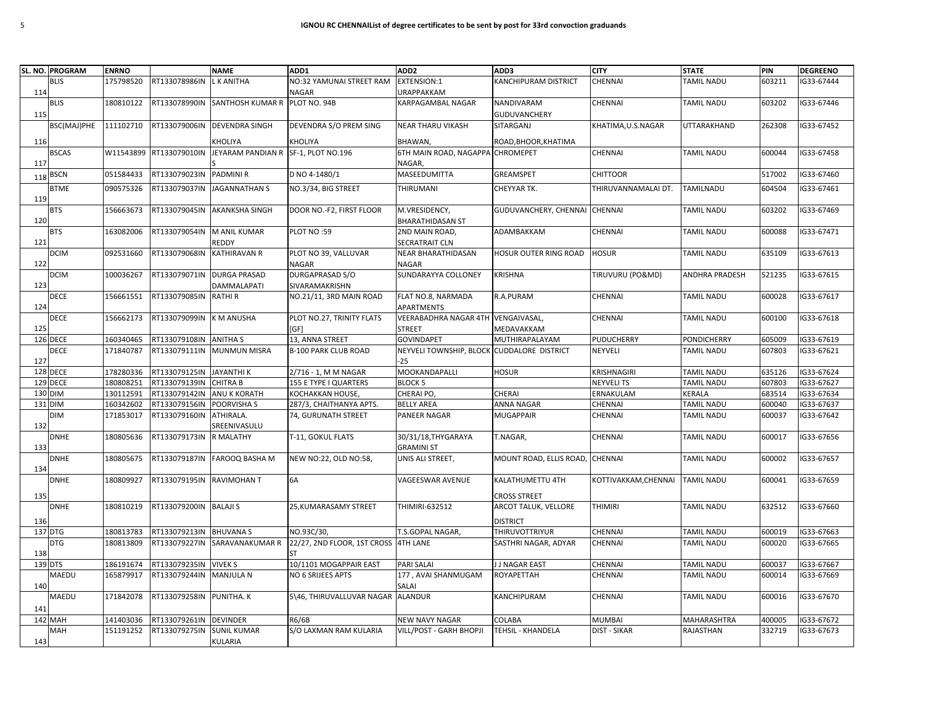|         | SL. NO. PROGRAM | <b>ENRNO</b> |                          | <b>NAME</b>                         | ADD1                                 | ADD <sub>2</sub>               | ADD3                          | <b>CITY</b>          | <b>STATE</b>          | PIN    | <b>DEGREENO</b> |
|---------|-----------------|--------------|--------------------------|-------------------------------------|--------------------------------------|--------------------------------|-------------------------------|----------------------|-----------------------|--------|-----------------|
|         | <b>BLIS</b>     | 175798520    | RT133078986IN            | L K ANITHA                          | NO:32 YAMUNAI STREET RAM             | <b>EXTENSION:1</b>             | <b>KANCHIPURAM DISTRICT</b>   | CHENNAI              | TAMIL NADU            | 603211 | IG33-67444      |
| 114     |                 |              |                          |                                     | <b>NAGAR</b>                         | <b>URAPPAKKAM</b>              |                               |                      |                       |        |                 |
|         | <b>BLIS</b>     | 180810122    | RT133078990IN            | SANTHOSH KUMAR R PLOT NO. 94B       |                                      | KARPAGAMBAL NAGAR              | NANDIVARAM                    | CHENNAI              | <b>TAMIL NADU</b>     | 603202 | IG33-67446      |
| 115     |                 |              |                          |                                     |                                      |                                | GUDUVANCHERY                  |                      |                       |        |                 |
|         | BSC(MAJ)PHE     | 111102710    | RT133079006IN            | <b>DEVENDRA SINGH</b>               | DEVENDRA S/O PREM SING               | <b>NEAR THARU VIKASH</b>       | SITARGANJ                     | KHATIMA, U.S.NAGAR   | UTTARAKHAND           | 262308 | IG33-67452      |
| 116     |                 |              |                          | KHOLIYA                             | KHOLIYA                              | BHAWAN,                        | ROAD, BHOOR, KHATIMA          |                      |                       |        |                 |
|         | <b>BSCAS</b>    | W11543899    | RT133079010IN            | JEYARAM PANDIAN R SF-1, PLOT NO.196 |                                      | 6TH MAIN ROAD, NAGAPPA         | <b>CHROMEPET</b>              | CHENNAI              | <b>TAMIL NADU</b>     | 600044 | IG33-67458      |
| 117     |                 |              |                          |                                     |                                      | NAGAR,                         |                               |                      |                       |        |                 |
| 118     | <b>BSCN</b>     | 051584433    | RT133079023IN            | <b>PADMINI R</b>                    | D NO 4-1480/1                        | MASEEDUMITTA                   | GREAMSPET                     | <b>CHITTOOR</b>      |                       | 517002 | IG33-67460      |
| 119     | <b>BTME</b>     | 090575326    |                          | RT133079037IN JAGANNATHAN S         | NO.3/34, BIG STREET                  | THIRUMANI                      | CHEYYAR TK.                   | THIRUVANNAMALAI DT.  | <b>TAMILNADU</b>      | 604504 | IG33-67461      |
|         | <b>BTS</b>      | 156663673    | RT133079045IN            | <b>AKANKSHA SINGH</b>               | DOOR NO.-F2, FIRST FLOOR             | M.VRESIDENCY,                  | GUDUVANCHERY, CHENNAI CHENNAI |                      | TAMIL NADU            | 603202 | IG33-67469      |
| 120     |                 |              |                          |                                     |                                      | <b>BHARATHIDASAN ST</b>        |                               |                      |                       |        |                 |
|         | <b>BTS</b>      | 163082006    | RT133079054IN            | M ANIL KUMAR                        | PLOT NO:59                           | 2ND MAIN ROAD,                 | ADAMBAKKAM                    | <b>CHENNAI</b>       | TAMIL NADU            | 600088 | IG33-67471      |
| 121     |                 |              |                          | REDDY                               |                                      | SECRATRAIT CLN                 |                               |                      |                       |        |                 |
|         | <b>DCIM</b>     | 092531660    | RT133079068IN            | <b>KATHIRAVAN R</b>                 | PLOT NO 39, VALLUVAR                 | NEAR BHARATHIDASAN             | HOSUR OUTER RING ROAD         | <b>HOSUR</b>         | TAMIL NADU            | 635109 | IG33-67613      |
| 122     |                 |              |                          |                                     | <b>NAGAR</b>                         | <b>NAGAR</b>                   |                               |                      |                       |        |                 |
|         | DCIM            | 100036267    | RT133079071IN            | <b>DURGA PRASAD</b>                 | DURGAPRASAD S/O                      | SUNDARAYYA COLLONEY            | KRISHNA                       | TIRUVURU (PO&MD)     | <b>ANDHRA PRADESH</b> | 521235 | IG33-67615      |
| 123     |                 |              |                          | DAMMALAPATI                         | SIVARAMAKRISHN                       |                                |                               |                      |                       |        |                 |
|         | <b>DECE</b>     | 156661551    | RT133079085IN            | <b>RATHIR</b>                       | NO.21/11, 3RD MAIN ROAD              | FLAT NO.8, NARMADA             | R.A.PURAM                     | <b>CHENNAI</b>       | <b>TAMIL NADU</b>     | 600028 | IG33-67617      |
| 124     |                 |              |                          |                                     |                                      | APARTMENTS                     |                               |                      |                       |        |                 |
|         | DECE            | 156662173    | RT133079099IN            | <b>KM ANUSHA</b>                    | PLOT NO.27, TRINITY FLATS            | <b>VEERABADHRA NAGAR 4TH</b>   | <b>VENGAIVASAL,</b>           | CHENNAI              | TAMIL NADU            | 600100 | IG33-67618      |
| 125     |                 |              |                          |                                     | [GF]                                 | <b>STREET</b>                  | MEDAVAKKAM                    |                      |                       |        |                 |
|         | 126 DECE        | 160340465    | RT133079108IN            | <b>ANITHA S</b>                     | 13, ANNA STREET                      | <b>GOVINDAPET</b>              | MUTHIRAPALAYAM                | PUDUCHERRY           | <b>PONDICHERRY</b>    | 605009 | IG33-67619      |
|         | DECE            | 171840787    | RT133079111IN            | <b>MUNMUN MISRA</b>                 | <b>B-100 PARK CLUB ROAD</b>          | <b>NEYVELI TOWNSHIP, BLOCK</b> | <b>CUDDALORE DISTRICT</b>     | NEYVELI              | <b>TAMIL NADU</b>     | 607803 | IG33-67621      |
| 127     |                 |              |                          |                                     |                                      | -25                            |                               |                      |                       |        |                 |
|         | 128 DECE        | 178280336    | RT133079125IN JAYANTHI K |                                     | 2/716 - 1, M M NAGAR                 | MOOKANDAPALLI                  | <b>HOSUR</b>                  | KRISHNAGIRI          | <b>TAMIL NADU</b>     | 635126 | IG33-67624      |
|         | 129 DECE        | 180808251    | RT133079139IN            | <b>CHITRA B</b>                     | 155 E TYPE I QUARTERS                | <b>BLOCK 5</b>                 |                               | <b>NEYVELITS</b>     | <b>TAMIL NADU</b>     | 607803 | IG33-67627      |
| 130 DIM |                 | 130112591    | RT133079142IN            | <b>ANU K KORATH</b>                 | KOCHAKKAN HOUSE,                     | CHERAI PO,                     | CHERAI                        | ERNAKULAM            | KERALA                | 683514 | IG33-67634      |
| 131 DIM |                 | 160342602    | RT133079156IN            | POORVISHA S                         | 287/3, CHAITHANYA APTS.              | <b>BELLY AREA</b>              | ANNA NAGAR                    | CHENNAI              | TAMIL NADU            | 600040 | IG33-67637      |
| 132     | <b>DIM</b>      | 171853017    | RT133079160IN            | ATHIRALA.<br>SREENIVASULU           | 74, GURUNATH STREET                  | <b>PANEER NAGAR</b>            | MUGAPPAIR                     | <b>CHENNAI</b>       | TAMIL NADU            | 600037 | IG33-67642      |
|         | <b>DNHE</b>     | 180805636    | RT133079173IN            | R MALATHY                           | T-11, GOKUL FLATS                    | 30/31/18, THY GARAYA           | T.NAGAR,                      | CHENNAI              | TAMIL NADU            | 600017 | IG33-67656      |
| 133     |                 |              |                          |                                     |                                      | <b>GRAMINI ST</b>              |                               |                      |                       |        |                 |
| 134     | <b>DNHE</b>     | 180805675    | RT133079187IN            | FAROOQ BASHA M                      | NEW NO:22, OLD NO:58,                | UNIS ALI STREET,               | MOUNT ROAD, ELLIS ROAD,       | <b>CHENNAI</b>       | TAMIL NADU            | 600002 | IG33-67657      |
|         | <b>DNHE</b>     | 180809927    | RT133079195IN            | <b>RAVIMOHAN T</b>                  | 6A                                   | VAGEESWAR AVENUE               | KALATHUMETTU 4TH              | KOTTIVAKKAM, CHENNAI | <b>TAMIL NADU</b>     | 600041 | IG33-67659      |
|         |                 |              |                          |                                     |                                      |                                |                               |                      |                       |        |                 |
| 135     |                 |              |                          |                                     |                                      |                                | <b>CROSS STREET</b>           |                      |                       |        |                 |
|         | <b>DNHE</b>     | 180810219    | RT133079200IN            | <b>BALAJI S</b>                     | 25, KUMARASAMY STREET                | THIMIRI-632512                 | ARCOT TALUK, VELLORE          | <b>THIMIRI</b>       | TAMIL NADU            | 632512 | IG33-67660      |
| 136     |                 |              |                          |                                     |                                      |                                | <b>DISTRICT</b>               |                      |                       |        |                 |
| 137 DTG |                 | 180813783    | RT133079213IN            | <b>BHUVANA S</b>                    | NO.93C/30,                           | T.S.GOPAL NAGAR,               | THIRUVOTTRIYUR                | CHENNAI              | <b>TAMIL NADU</b>     | 600019 | IG33-67663      |
| 138     | <b>DTG</b>      | 180813809    | RT133079227IN            | SARAVANAKUMAR R                     | 22/27, 2ND FLOOR, 1ST CROSS 4TH LANE |                                | SASTHRI NAGAR, ADYAR          | <b>CHENNAI</b>       | TAMIL NADU            | 600020 | IG33-67665      |
| 139 DTS |                 | 186191674    | RT133079235IN            | <b>VIVEK S</b>                      | 10/1101 MOGAPPAIR EAST               | PARI SALAI                     | J J NAGAR EAST                | CHENNAI              | TAMIL NADU            | 600037 | IG33-67667      |
|         | MAEDU           | 165879917    | RT133079244IN            | MANJULA N                           | NO 6 SRIJEES APTS                    | 177, AVAI SHANMUGAM            | ROYAPETTAH                    | CHENNAI              | TAMIL NADU            | 600014 | IG33-67669      |
| 140     |                 |              |                          |                                     |                                      | SALAI                          |                               |                      |                       |        |                 |
|         | MAEDU           | 171842078    | RT133079258IN            | PUNITHA. K                          | 5\46, THIRUVALLUVAR NAGAR            | <b>ALANDUR</b>                 | KANCHIPURAM                   | CHENNAI              | TAMIL NADU            | 600016 | IG33-67670      |
| 141     |                 |              |                          |                                     |                                      |                                |                               |                      |                       |        |                 |
|         | <b>142 MAH</b>  | 141403036    | RT133079261IN            | <b>DEVINDER</b>                     | R6/6B                                | <b>NEW NAVY NAGAR</b>          | COLABA                        | <b>MUMBAI</b>        | MAHARASHTRA           | 400005 | IG33-67672      |
|         | MAH             | 151191252    | RT133079275IN            | <b>SUNIL KUMAR</b>                  | S/O LAXMAN RAM KULARIA               | VILL/POST - GARH BHOPJI        | TEHSIL - KHANDELA             | <b>DIST - SIKAR</b>  | RAJASTHAN             | 332719 | IG33-67673      |
| 143     |                 |              |                          | KULARIA                             |                                      |                                |                               |                      |                       |        |                 |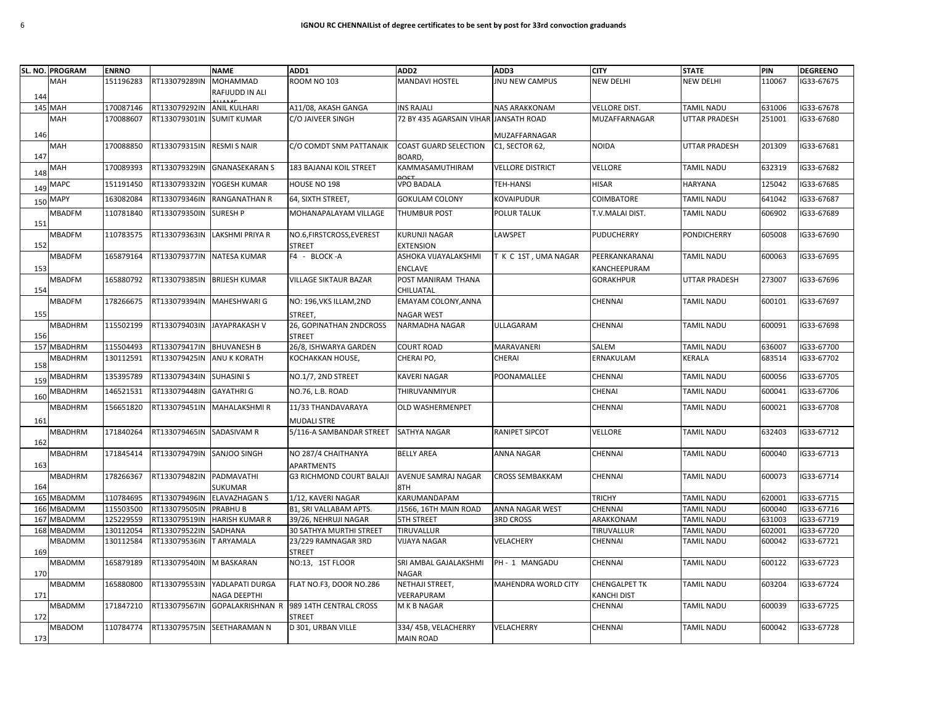|            | SL. NO. PROGRAM | <b>ENRNO</b> |                             | <b>NAME</b>                            | ADD1                                              | ADD <sub>2</sub>                       | ADD3                       | <b>CITY</b>                      | <b>STATE</b>  | PIN    | <b>DEGREENO</b> |
|------------|-----------------|--------------|-----------------------------|----------------------------------------|---------------------------------------------------|----------------------------------------|----------------------------|----------------------------------|---------------|--------|-----------------|
|            | <b>MAH</b>      | 151196283    | RT133079289IN               | MOHAMMAD                               | <b>ROOM NO 103</b>                                | <b>MANDAVI HOSTEL</b>                  | <b>JNU NEW CAMPUS</b>      | NEW DELHI                        | NEW DELHI     | 110067 | G33-67675       |
| 144        |                 |              |                             | RAFIJUDD IN ALI                        |                                                   |                                        |                            |                                  |               |        |                 |
|            | <b>145 MAH</b>  | 170087146    | RT133079292IN ANIL KULHARI  |                                        | A11/08, AKASH GANGA                               | <b>INS RAJALI</b>                      | <b>NAS ARAKKONAM</b>       | <b>VELLORE DIST.</b>             | TAMIL NADU    | 631006 | IG33-67678      |
|            | MAH             | 170088607    | RT133079301IN SUMIT KUMAR   |                                        | C/O JAIVEER SINGH                                 | 72 BY 435 AGARSAIN VIHAR JANSATH ROAD  |                            | <b>MUZAFFARNAGAR</b>             | UTTAR PRADESH | 251001 | G33-67680       |
|            |                 |              |                             |                                        |                                                   |                                        |                            |                                  |               |        |                 |
| 146        |                 |              | RT133079315IN               |                                        | C/O COMDT SNM PATTANAIK                           |                                        | MUZAFFARNAGAR              | <b>NOIDA</b>                     | UTTAR PRADESH | 201309 | IG33-67681      |
| 147        | MAH             | 170088850    |                             | <b>RESMI S NAIR</b>                    |                                                   | <b>COAST GUARD SELECTION</b><br>BOARD. | C1, SECTOR 62,             |                                  |               |        |                 |
| 148        | MAH             | 170089393    | RT133079329IN               | <b>GNANASEKARAN S</b>                  | 183 BAJANAI KOIL STREET                           | KAMMASAMUTHIRAM<br>nCT                 | <b>VELLORE DISTRICT</b>    | VELLORE                          | TAMIL NADU    | 632319 | IG33-67682      |
| 149        | MAPC            | 151191450    | RT133079332IN               | YOGESH KUMAR                           | HOUSE NO 198                                      | <b>VPO BADALA</b>                      | TEH-HANSI                  | <b>HISAR</b>                     | HARYANA       | 125042 | G33-67685       |
| 150        | <b>MAPY</b>     | 163082084    | RT133079346IN               | <b>RANGANATHAN R</b>                   | 64, SIXTH STREET,                                 | <b>GOKULAM COLONY</b>                  | <b>KOVAIPUDUR</b>          | COIMBATORE                       | TAMIL NADU    | 641042 | IG33-67687      |
| 151        | <b>MBADFM</b>   | 110781840    | RT133079350IN               | <b>SURESH P</b>                        | MOHANAPALAYAM VILLAGE                             | <b>THUMBUR POST</b>                    | POLUR TALUK                | T.V.MALAI DIST.                  | TAMIL NADU    | 606902 | G33-67689       |
|            | <b>MBADFM</b>   | 110783575    |                             | RT133079363IN LAKSHMI PRIYA R          | NO.6, FIRSTCROSS, EVEREST                         | <b>KURUNJI NAGAR</b>                   | LAWSPET                    | <b>PUDUCHERRY</b>                | PONDICHERRY   | 605008 | IG33-67690      |
| 152        |                 | 165879164    | RT133079377IN NATESA KUMAR  |                                        | <b>STREET</b><br>F4 - BLOCK-A                     | <b>EXTENSION</b>                       |                            | PEERKANKARANAI                   | TAMIL NADU    | 600063 | G33-67695       |
|            | MBADFM          |              |                             |                                        |                                                   | ASHOKA VIJAYALAKSHMI                   | T K C 1ST, UMA NAGAR       |                                  |               |        |                 |
| 153        | <b>MBADFM</b>   | 165880792    | RT133079385IN BRIJESH KUMAR |                                        | <b>VILLAGE SIKTAUR BAZAR</b>                      | <b>ENCLAVE</b><br>POST MANIRAM THANA   |                            | KANCHEEPURAM<br><b>GORAKHPUR</b> | UTTAR PRADESH | 273007 | IG33-67696      |
| 154        |                 |              |                             |                                        |                                                   | CHILUATAL                              |                            |                                  |               |        |                 |
|            | <b>MBADFM</b>   | 178266675    | RT133079394IN               | <b>MAHESHWARI G</b>                    | NO: 196, VKS ILLAM, 2ND                           | EMAYAM COLONY, ANNA                    |                            | CHENNAI                          | TAMIL NADU    | 600101 | G33-67697       |
| 155        |                 |              |                             |                                        | <b>STREET</b>                                     | <b>NAGAR WEST</b>                      |                            |                                  |               |        |                 |
|            | MBADHRM         | 115502199    | RT133079403IN JAYAPRAKASH V |                                        | 26, GOPINATHAN 2NDCROSS                           | <b>NARMADHA NAGAR</b>                  | ULLAGARAM                  | CHENNAI                          | TAMIL NADU    | 600091 | IG33-67698      |
| 156        |                 |              |                             |                                        | <b>STREET</b>                                     |                                        |                            |                                  |               |        |                 |
| 157        | <b>MBADHRM</b>  | 115504493    | RT133079417IN BHUVANESH B   |                                        | 26/8, ISHWARYA GARDEN                             | <b>COURT ROAD</b>                      | MARAVANERI                 | SALEM                            | TAMIL NADU    | 636007 | G33-67700       |
|            | <b>MBADHRM</b>  | 130112591    | RT133079425IN               | <b>ANU K KORATH</b>                    | KOCHAKKAN HOUSE,                                  | CHERAI PO,                             | CHERAI                     | ERNAKULAM                        | <b>KERALA</b> | 683514 | IG33-67702      |
| 158        |                 |              |                             |                                        |                                                   |                                        |                            |                                  |               |        |                 |
| <b>159</b> | MBADHRM         | 135395789    | RT133079434IN               | <b>SUHASINI S</b>                      | NO.1/7, 2ND STREET                                | KAVERI NAGAR                           | POONAMALLEE                | CHENNAI                          | TAMIL NADU    | 600056 | G33-67705       |
| 160        | MBADHRM         | 146521531    | RT133079448IN               | <b>GAYATHRI G</b>                      | NO.76, L.B. ROAD                                  | THIRUVANMIYUR                          |                            | CHENAI                           | TAMIL NADU    | 600041 | G33-67706       |
|            | MBADHRM         | 156651820    | RT133079451IN               | <b>MAHALAKSHMIR</b>                    | 11/33 THANDAVARAYA                                | OLD WASHERMENPET                       |                            | CHENNAI                          | TAMIL NADU    | 600021 | G33-67708       |
| 161        |                 |              |                             |                                        | MUDALI STRE                                       |                                        |                            |                                  |               |        |                 |
|            | <b>MBADHRM</b>  | 171840264    | RT133079465IN SADASIVAM R   |                                        | 5/116-A SAMBANDAR STREET                          | <b>SATHYA NAGAR</b>                    | RANIPET SIPCOT             | VELLORE                          | TAMIL NADU    | 632403 | G33-67712       |
| 162        |                 |              |                             |                                        |                                                   |                                        |                            |                                  |               |        |                 |
|            | <b>MBADHRM</b>  | 171845414    | RT133079479IN SANJOO SINGH  |                                        | NO 287/4 CHAITHANYA                               | <b>BELLY AREA</b>                      | ANNA NAGAR                 | CHENNAI                          | TAMIL NADU    | 600040 | G33-67713       |
| 163        |                 |              |                             |                                        | APARTMENTS                                        |                                        |                            |                                  |               |        |                 |
|            | MBADHRM         | 178266367    | RT133079482IN PADMAVATHI    |                                        | <b>G3 RICHMOND COURT BALAJI</b>                   | AVENUE SAMRAJ NAGAR                    | <b>CROSS SEMBAKKAM</b>     | CHENNAI                          | TAMIL NADU    | 600073 | G33-67714       |
| 164<br>165 | <b>MBADMM</b>   | 110784695    |                             | SUKUMAR<br>RT133079496IN ELAVAZHAGAN S | 1/12, KAVERI NAGAR                                | 8TH<br>KARUMANDAPAM                    |                            | <b>TRICHY</b>                    | TAMIL NADU    | 620001 | IG33-67715      |
|            | 166 MBADMM      | 115503500    | RT133079505IN               | <b>PRABHUB</b>                         | B1, SRI VALLABAM APTS.                            | J1566, 16TH MAIN ROAD                  | <b>ANNA NAGAR WEST</b>     | <b>CHENNAI</b>                   | TAMIL NADU    | 600040 | G33-67716       |
| 167        | <b>MBADMM</b>   | 125229559    |                             | RT133079519IN HARISH KUMAR R           | 39/26, NEHRUJI NAGAR                              | <b>5TH STREET</b>                      | <b>3RD CROSS</b>           | ARAKKONAM                        | TAMIL NADU    | 631003 | G33-67719       |
|            | 168 MBADMM      | 130112054    | RT133079522IN               | SADHANA                                | 30 SATHYA MURTHI STREET                           | TIRUVALLUR                             |                            | TIRUVALLUR                       | TAMIL NADU    | 602001 | G33-67720       |
|            | MBADMM          | 130112584    | RT133079536IN               | T ARYAMALA                             | 23/229 RAMNAGAR 3RD                               | VIJAYA NAGAR                           | VELACHERY                  | CHENNAI                          | TAMIL NADU    | 600042 | G33-67721       |
| 169        |                 |              |                             |                                        | <b>STREET</b>                                     |                                        |                            |                                  |               |        |                 |
| 170        | MBADMM          | 165879189    | RT133079540IN M BASKARAN    |                                        | NO:13, 1ST FLOOR                                  | SRI AMBAL GAJALAKSHMI<br><b>NAGAR</b>  | PH - 1 MANGADU             | CHENNAI                          | TAMIL NADU    | 600122 | G33-67723       |
|            | MBADMM          | 165880800    |                             | RT133079553IN YADLAPATI DURGA          | FLAT NO.F3, DOOR NO.286                           | NETHAJI STREET,                        | <b>MAHENDRA WORLD CITY</b> | <b>CHENGALPET TK</b>             | TAMIL NADU    | 603204 | IG33-67724      |
| 171        |                 |              |                             | NAGA DEEPTHI                           |                                                   | VEERAPURAM                             |                            | KANCHI DIST                      |               |        |                 |
| 172        | MBADMM          | 171847210    | RT133079567IN               |                                        | GOPALAKRISHNAN R 989 14TH CENTRAL CROSS<br>STREET | M K B NAGAR                            |                            | <b>CHENNAI</b>                   | TAMIL NADU    | 600039 | IG33-67725      |
|            | <b>MBADOM</b>   | 110784774    |                             | RT133079575IN SEETHARAMAN N            | D 301, URBAN VILLE                                | 334/45B, VELACHERRY                    | VELACHERRY                 | CHENNAI                          | TAMIL NADU    | 600042 | G33-67728       |
| 173        |                 |              |                             |                                        |                                                   | <b>MAIN ROAD</b>                       |                            |                                  |               |        |                 |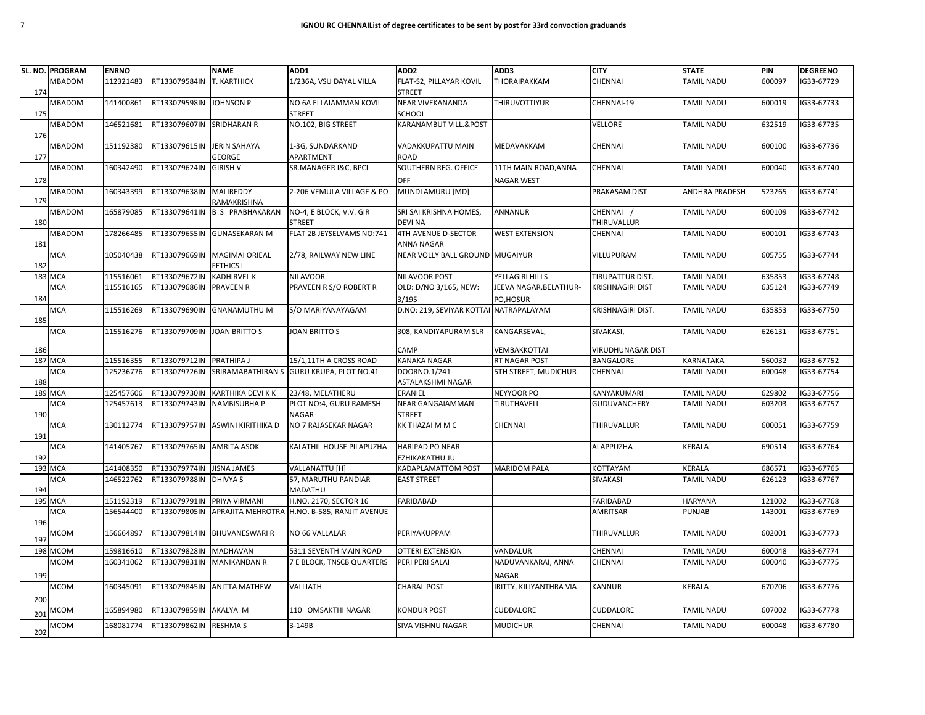|     | SL. NO. PROGRAM | <b>ENRNO</b> |                           | <b>NAME</b>                      | ADD1                                                       | ADD <sub>2</sub>                       | ADD3                        | <b>CITY</b>              | <b>STATE</b>          | PIN    | <b>DEGREENO</b> |
|-----|-----------------|--------------|---------------------------|----------------------------------|------------------------------------------------------------|----------------------------------------|-----------------------------|--------------------------|-----------------------|--------|-----------------|
|     | MBADOM          | 112321483    | RT133079584IN             | <b>T. KARTHICK</b>               | 1/236A, VSU DAYAL VILLA                                    | FLAT-S2, PILLAYAR KOVIL                | THORAIPAKKAM                | <b>CHENNAI</b>           | <b>TAMIL NADU</b>     | 600097 | G33-67729       |
| 174 |                 |              |                           |                                  |                                                            | <b>STREET</b>                          |                             |                          |                       |        |                 |
|     | <b>MBADOM</b>   | 141400861    | RT133079598IN             | <b>JOHNSON P</b>                 | NO 6A ELLAIAMMAN KOVIL                                     | <b>NEAR VIVEKANANDA</b>                | <b>THIRUVOTTIYUR</b>        | CHENNAI-19               | <b>TAMIL NADU</b>     | 600019 | G33-67733       |
| 175 |                 |              |                           |                                  | <b>STREET</b>                                              | <b>SCHOOL</b>                          |                             |                          |                       |        |                 |
|     | MBADOM          | 146521681    | RT133079607IN SRIDHARAN R |                                  | NO.102, BIG STREET                                         | KARANAMBUT VILL.&POST                  |                             | VELLORE                  | <b>TAMIL NADU</b>     | 632519 | G33-67735       |
| 176 |                 |              |                           |                                  |                                                            |                                        |                             |                          |                       |        |                 |
|     | MBADOM          | 151192380    | RT133079615IN             | <b>JERIN SAHAYA</b>              | 1-3G, SUNDARKAND                                           | VADAKKUPATTU MAIN                      | MEDAVAKKAM                  | CHENNAI                  | <b>TAMIL NADU</b>     | 600100 | IG33-67736      |
| 177 | MBADOM          | 160342490    | RT133079624IN             | GEORGE<br><b>GIRISH V</b>        | APARTMENT<br>SR.MANAGER I&C, BPCL                          | ROAD<br>SOUTHERN REG. OFFICE           | 11TH MAIN ROAD, ANNA        | CHENNAI                  | <b>TAMIL NADU</b>     | 600040 | G33-67740       |
|     |                 |              |                           |                                  |                                                            |                                        |                             |                          |                       |        |                 |
| 178 | <b>MBADOM</b>   | 160343399    | RT133079638IN             | <b>MALIREDDY</b>                 | 2-206 VEMULA VILLAGE & PO                                  | OFF<br>MUNDLAMURU [MD]                 | <b>NAGAR WEST</b>           | PRAKASAM DIST            | <b>ANDHRA PRADESH</b> | 523265 | G33-67741       |
| 179 |                 |              |                           | RAMAKRISHNA                      |                                                            |                                        |                             |                          |                       |        |                 |
|     | <b>MBADOM</b>   | 165879085    | RT133079641IN             | <b>B S PRABHAKARAN</b>           | NO-4, E BLOCK, V.V. GIR                                    | SRI SAI KRISHNA HOMES,                 | ANNANUR                     | CHENNAI /                | <b>TAMIL NADU</b>     | 600109 | G33-67742       |
| 180 |                 |              |                           |                                  | <b>STREET</b>                                              | <b>DEVI NA</b>                         |                             | THIRUVALLUR              |                       |        |                 |
|     | <b>MBADOM</b>   | 178266485    |                           | RT133079655IN GUNASEKARAN M      | FLAT 2B JEYSELVAMS NO:741                                  | <b>4TH AVENUE D-SECTOR</b>             | <b>WEST EXTENSION</b>       | <b>CHENNAI</b>           | <b>TAMIL NADU</b>     | 600101 | G33-67743       |
| 181 |                 |              |                           |                                  |                                                            | ANNA NAGAR                             |                             |                          |                       |        |                 |
|     | MCA             | 105040438    | RT133079669IN             | <b>MAGIMAI ORIEAL</b>            | 2/78, RAILWAY NEW LINE                                     | NEAR VOLLY BALL GROUND MUGAIYUR        |                             | VILLUPURAM               | <b>TAMIL NADU</b>     | 605755 | G33-67744       |
| 182 |                 |              |                           | <b>FETHICS I</b>                 |                                                            |                                        |                             |                          |                       |        |                 |
|     | <b>183 MCA</b>  | 115516061    | RT133079672IN             | <b>KADHIRVEL K</b>               | <b>NILAVOOR</b>                                            | NILAVOOR POST                          | YELLAGIRI HILLS             | TIRUPATTUR DIST.         | <b>TAMIL NADU</b>     | 635853 | G33-67748       |
|     | <b>MCA</b>      | 115516165    | RT133079686IN             | <b>PRAVEEN R</b>                 | PRAVEEN R S/O ROBERT R                                     | OLD: D/NO 3/165, NEW:                  | JEEVA NAGAR, BELATHUR-      | <b>KRISHNAGIRI DIST</b>  | <b>TAMIL NADU</b>     | 635124 | G33-67749       |
| 184 |                 |              |                           |                                  |                                                            | 3/195                                  | PO, HOSUR                   |                          |                       |        |                 |
|     | <b>MCA</b>      | 115516269    |                           | RT133079690IN GNANAMUTHU M       | S/O MARIYANAYAGAM                                          | D.NO: 219, SEVIYAR KOTTAI NATRAPALAYAM |                             | KRISHNAGIRI DIST.        | <b>TAMIL NADU</b>     | 635853 | G33-67750       |
| 185 | <b>MCA</b>      | 115516276    | RT133079709IN             | <b>JOAN BRITTO S</b>             | <b>JOAN BRITTO S</b>                                       | 308, KANDIYAPURAM SLR                  | KANGARSEVAL,                | SIVAKASI,                | <b>TAMIL NADU</b>     | 626131 | G33-67751       |
|     |                 |              |                           |                                  |                                                            |                                        |                             |                          |                       |        |                 |
| 186 |                 |              |                           |                                  |                                                            | CAMP                                   | VEMBAKKOTTAI                | <b>VIRUDHUNAGAR DIST</b> |                       |        |                 |
| 187 | <b>MCA</b>      | 115516355    | RT133079712IN             | PRATHIPA J                       | 15/1,11TH A CROSS ROAD                                     | <b>KANAKA NAGAR</b>                    | RT NAGAR POST               | BANGALORE                | <b>KARNATAKA</b>      | 560032 | IG33-67752      |
|     | <b>MCA</b>      | 125236776    |                           |                                  | RT133079726IN SRIRAMABATHIRAN S GURU KRUPA, PLOT NO.41     | DOORNO.1/241                           | <b>5TH STREET, MUDICHUR</b> | CHENNAI                  | <b>TAMIL NADU</b>     | 600048 | G33-67754       |
| 188 |                 |              |                           |                                  |                                                            | ASTALAKSHMI NAGAR                      |                             |                          |                       |        |                 |
| 189 | <b>MCA</b>      | 125457606    | RT133079730IN             | <b>KARTHIKA DEVI K K</b>         | 23/48, MELATHERU                                           | ERANIEL                                | NEYYOOR PO                  | KANYAKUMARI              | <b>TAMIL NADU</b>     | 629802 | G33-67756       |
|     | MCA             | 125457613    | RT133079743IN             | <b>NAMBISUBHA P</b>              | PLOT NO:4, GURU RAMESH                                     | <b>NEAR GANGAIAMMAN</b>                | TIRUTHAVELI                 | <b>GUDUVANCHERY</b>      | TAMIL NADU            | 603203 | G33-67757       |
| 190 | <b>MCA</b>      | 130112774    |                           | RT133079757IN ASWINI KIRITHIKA D | <b>NAGAR</b><br>NO 7 RAJASEKAR NAGAR                       | <b>STREET</b><br>KK THAZAI M M C       | CHENNAI                     | THIRUVALLUR              | <b>TAMIL NADU</b>     | 600051 | G33-67759       |
| 191 |                 |              |                           |                                  |                                                            |                                        |                             |                          |                       |        |                 |
|     | <b>MCA</b>      | 141405767    | RT133079765IN AMRITA ASOK |                                  | KALATHIL HOUSE PILAPUZHA                                   | <b>HARIPAD PO NEAR</b>                 |                             | ALAPPUZHA                | KERALA                | 690514 | G33-67764       |
| 192 |                 |              |                           |                                  |                                                            | EZHIKAKATHU JU                         |                             |                          |                       |        |                 |
|     | 193 MCA         | 141408350    | RT133079774IN             | <b>JISNA JAMES</b>               | VALLANATTU [H]                                             | KADAPLAMATTOM POST                     | <b>MARIDOM PALA</b>         | KOTTAYAM                 | KERALA                | 686571 | G33-67765       |
|     | <b>MCA</b>      | 146522762    | RT133079788IN DHIVYA S    |                                  | 57, MARUTHU PANDIAR                                        | <b>EAST STREET</b>                     |                             | SIVAKASI                 | <b>TAMIL NADU</b>     | 626123 | G33-67767       |
| 194 |                 |              |                           |                                  | MADATHU                                                    |                                        |                             |                          |                       |        |                 |
|     | <b>195 MCA</b>  | 151192319    | RT133079791IN             | PRIYA VIRMANI                    | H.NO. 2170, SECTOR 16                                      | <b>FARIDABAD</b>                       |                             | <b>FARIDABAD</b>         | <b>HARYANA</b>        | 121002 | G33-67768       |
|     | <b>MCA</b>      | 156544400    |                           |                                  | RT133079805IN APRAJITA MEHROTRA H.NO. B-585, RANJIT AVENUE |                                        |                             | AMRITSAR                 | <b>PUNJAB</b>         | 143001 | G33-67769       |
| 196 |                 |              |                           |                                  |                                                            |                                        |                             |                          |                       |        |                 |
| 197 | <b>MCOM</b>     | 156664897    |                           | RT133079814IN BHUVANESWARI R     | <b>NO 66 VALLALAR</b>                                      | PERIYAKUPPAM                           |                             | THIRUVALLUR              | TAMIL NADU            | 602001 | G33-67773       |
|     | 198 MCOM        | 159816610    | RT133079828IN             | <b>MADHAVAN</b>                  | 5311 SEVENTH MAIN ROAD                                     | OTTERI EXTENSION                       | VANDALUR                    | CHENNAI                  | TAMIL NADU            | 600048 | G33-67774       |
|     | <b>MCOM</b>     | 160341062    | RT133079831IN             | <b>MANIKANDAN R</b>              | 7 E BLOCK, TNSCB QUARTERS                                  | PERI PERI SALAI                        | NADUVANKARAI, ANNA          | CHENNAI                  | <b>TAMIL NADU</b>     | 600040 | G33-67775       |
| 199 |                 |              |                           |                                  |                                                            |                                        | <b>NAGAR</b>                |                          |                       |        |                 |
|     | <b>MCOM</b>     | 160345091    |                           | RT133079845IN ANITTA MATHEW      | VALLIATH                                                   | <b>CHARAL POST</b>                     | IRITTY, KILIYANTHRA VIA     | <b>KANNUR</b>            | KERALA                | 670706 | G33-67776       |
| 200 |                 |              |                           |                                  |                                                            |                                        |                             |                          |                       |        |                 |
|     | исом            | 165894980    | RT133079859IN             | AKALYA M                         | 110 OMSAKTHI NAGAR                                         | KONDUR POST                            | CUDDALORE                   | CUDDALORE                | <b>TAMIL NADU</b>     | 607002 | G33-67778       |
| 201 | <b>MCOM</b>     | 168081774    | RT133079862IN RESHMA S    |                                  | 3-149B                                                     | SIVA VISHNU NAGAR                      | <b>MUDICHUR</b>             | CHENNAI                  | <b>TAMIL NADU</b>     | 600048 | IG33-67780      |
| 202 |                 |              |                           |                                  |                                                            |                                        |                             |                          |                       |        |                 |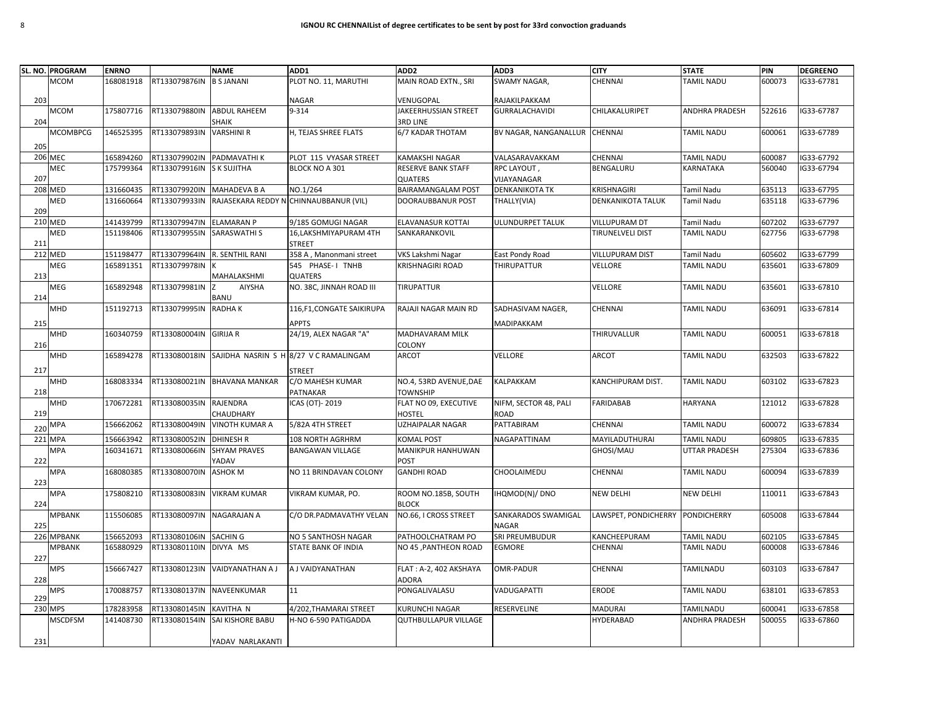|     | SL. NO. PROGRAM | <b>ENRNO</b> |               | <b>NAME</b>                  | ADD1                                    | ADD <sub>2</sub>                    | ADD3                         | <b>CITY</b>              | <b>STATE</b>          | PIN    | <b>DEGREENO</b> |
|-----|-----------------|--------------|---------------|------------------------------|-----------------------------------------|-------------------------------------|------------------------------|--------------------------|-----------------------|--------|-----------------|
|     | <b>MCOM</b>     | 168081918    | RT133079876IN | <b>B S JANANI</b>            | PLOT NO. 11, MARUTHI                    | MAIN ROAD EXTN., SRI                | SWAMY NAGAR,                 | CHENNAI                  | <b>TAMIL NADU</b>     | 600073 | G33-67781       |
| 203 |                 |              |               |                              | <b>NAGAR</b>                            | VENUGOPAL                           | RAJAKILPAKKAM                |                          |                       |        |                 |
|     | MCOM            | 175807716    | RT133079880IN | <b>ABDUL RAHEEM</b>          | 9-314                                   | JAKEERHUSSIAN STREET                | <b>GURRALACHAVIDI</b>        | CHILAKALURIPET           | <b>ANDHRA PRADESH</b> | 522616 | G33-67787       |
| 204 |                 |              |               | <b>SHAIK</b>                 |                                         | <b>3RD LINE</b>                     |                              |                          |                       |        |                 |
|     | <b>MCOMBPCG</b> | 146525395    | RT133079893IN | <b>VARSHINI R</b>            | H, TEJAS SHREE FLATS                    | 6/7 KADAR THOTAM                    | BV NAGAR, NANGANALLUR        | <b>CHENNAI</b>           | <b>TAMIL NADU</b>     | 600061 | IG33-67789      |
| 205 |                 |              |               |                              |                                         |                                     |                              |                          |                       |        |                 |
|     | <b>206 MEC</b>  | 165894260    | RT133079902IN | PADMAVATHI K                 | PLOT 115 VYASAR STREET                  | KAMAKSHI NAGAR                      | VALASARAVAKKAM               | CHENNAI                  | <b>TAMIL NADU</b>     | 600087 | G33-67792       |
|     | MEC             | 175799364    | RT133079916IN | <b>S K SUJITHA</b>           | BLOCK NO A 301                          | RESERVE BANK STAFF                  | RPC LAYOUT,                  | BENGALURU                | KARNATAKA             | 560040 | G33-67794       |
| 207 |                 |              |               |                              |                                         | <b>QUATERS</b>                      | VIJAYANAGAR                  |                          |                       |        |                 |
|     | <b>208 MED</b>  | 131660435    | RT133079920IN | <b>MAHADEVA B A</b>          | NO.1/264                                | <b>BAIRAMANGALAM POST</b>           | <b>DENKANIKOTA TK</b>        | KRISHNAGIRI              | <b>Tamil Nadu</b>     | 635113 | IG33-67795      |
| 209 | MED             | 131660664    | RT133079933IN |                              | RAJASEKARA REDDY N CHINNAUBBANUR (VIL)  | DOORAUBBANUR POST                   | THALLY(VIA)                  | <b>DENKANIKOTA TALUK</b> | <b>Tamil Nadu</b>     | 635118 | G33-67796       |
|     | 210 MED         | 141439799    | RT133079947IN | <b>ELAMARAN P</b>            | 9/185 GOMUGI NAGAR                      | ELAVANASUR KOTTAI                   | ULUNDURPET TALUK             | VILLUPURAM DT            | <b>Tamil Nadu</b>     | 607202 | G33-67797       |
| 211 | MED             | 151198406    | RT133079955IN | SARASWATHI S                 | 16, LAKSHMIYAPURAM 4TH<br><b>STREET</b> | SANKARANKOVIL                       |                              | <b>TIRUNELVELI DIST</b>  | <b>TAMIL NADU</b>     | 627756 | G33-67798       |
|     | <b>212 MED</b>  | 151198477    | RT133079964IN | R. SENTHIL RANI              | 358 A, Manonmani street                 | VKS Lakshmi Nagar                   | East Pondy Road              | <b>VILLUPURAM DIST</b>   | <b>Tamil Nadu</b>     | 605602 | G33-67799       |
|     | MEG             | 165891351    | RT133079978IN |                              | 545 PHASE-I TNHB                        | <b>KRISHNAGIRI ROAD</b>             | <b>THIRUPATTUR</b>           | VELLORE                  | <b>TAMIL NADU</b>     | 635601 | G33-67809       |
| 213 |                 |              |               | MAHALAKSHMI                  | QUATERS                                 |                                     |                              |                          |                       |        |                 |
| 214 | MEG             | 165892948    | RT133079981IN | <b>AIYSHA</b><br><b>BANU</b> | NO. 38C, JINNAH ROAD III                | TIRUPATTUR                          |                              | VELLORE                  | <b>TAMIL NADU</b>     | 635601 | G33-67810       |
|     | MHD             | 151192713    | RT133079995IN | <b>RADHAK</b>                | 116,F1,CONGATE SAIKIRUPA                | RAJAJI NAGAR MAIN RD                | SADHASIVAM NAGER.            | <b>CHENNAI</b>           | <b>TAMIL NADU</b>     | 636091 | G33-67814       |
|     |                 |              |               |                              |                                         |                                     |                              |                          |                       |        |                 |
| 215 |                 |              | RT133080004IN | <b>GIRIJA R</b>              | <b>APPTS</b><br>24/19, ALEX NAGAR "A"   | MADHAVARAM MILK                     | MADIPAKKAM                   | THIRUVALLUR              | <b>TAMIL NADU</b>     | 600051 | IG33-67818      |
| 216 | MHD             | 160340759    |               |                              |                                         | COLONY                              |                              |                          |                       |        |                 |
|     | MHD             | 165894278    | RT133080018IN |                              | SAJIDHA NASRIN S H 8/27 V C RAMALINGAM  | <b>ARCOT</b>                        | VELLORE                      | ARCOT                    | <b>TAMIL NADU</b>     | 632503 | G33-67822       |
| 217 |                 |              |               |                              | STREET                                  |                                     |                              |                          |                       |        |                 |
|     | MHD             | 168083334    |               | RT133080021IN BHAVANA MANKAR | C/O MAHESH KUMAR                        | NO.4, 53RD AVENUE, DAE              | KALPAKKAM                    | KANCHIPURAM DIST.        | <b>TAMIL NADU</b>     | 603102 | IG33-67823      |
| 218 |                 |              |               |                              | PATNAKAR                                | <b>TOWNSHIP</b>                     |                              |                          |                       |        |                 |
|     | MHD             | 170672281    | RT133080035IN | <b>RAJENDRA</b>              | ICAS (OT)- 2019                         | FLAT NO 09, EXECUTIVE               | NIFM, SECTOR 48, PALI        | <b>FARIDABAB</b>         | <b>HARYANA</b>        | 121012 | G33-67828       |
| 219 |                 |              |               | CHAUDHARY                    |                                         | HOSTEL                              | ROAD                         |                          |                       |        |                 |
| 220 | <b>MPA</b>      | 156662062    | RT133080049IN | <b>VINOTH KUMAR A</b>        | 5/82A 4TH STREET                        | <b>UZHAIPALAR NAGAR</b>             | PATTABIRAM                   | CHENNAI                  | <b>TAMIL NADU</b>     | 600072 | IG33-67834      |
|     | 221 MPA         | 156663942    | RT133080052IN | <b>DHINESH R</b>             | 108 NORTH AGRHRM                        | <b>KOMAL POST</b>                   | NAGAPATTINAM                 | MAYILADUTHURAI           | <b>TAMIL NADU</b>     | 609805 | G33-67835       |
|     | MPA             | 160341671    | RT133080066IN | <b>SHYAM PRAVES</b>          | <b>BANGAWAN VILLAGE</b>                 | MANIKPUR HANHUWAN                   |                              | GHOSI/MAU                | <b>UTTAR PRADESH</b>  | 275304 | G33-67836       |
| 222 | <b>MPA</b>      | 168080385    | RT133080070IN | YADAV<br><b>ASHOK M</b>      | NO 11 BRINDAVAN COLONY                  | POST<br><b>GANDHI ROAD</b>          | CHOOLAIMEDU                  | CHENNAI                  | <b>TAMIL NADU</b>     | 600094 | G33-67839       |
| 223 |                 |              |               |                              |                                         |                                     |                              |                          |                       |        |                 |
| 224 | <b>MPA</b>      | 175808210    | RT133080083IN | <b>VIKRAM KUMAR</b>          | VIKRAM KUMAR, PO.                       | ROOM NO.185B, SOUTH<br><b>BLOCK</b> | IHQMOD(N)/ DNO               | <b>NEW DELHI</b>         | <b>NEW DELHI</b>      | 110011 | IG33-67843      |
| 225 | MPBANK          | 115506085    | RT133080097IN | <b>NAGARAJAN A</b>           | C/O DR.PADMAVATHY VELAN                 | NO.66, I CROSS STREET               | SANKARADOS SWAMIGAL<br>NAGAR | LAWSPET, PONDICHERRY     | <b>PONDICHERRY</b>    | 605008 | IG33-67844      |
|     | 226 MPBANK      | 156652093    | RT133080106IN | <b>SACHING</b>               | NO 5 SANTHOSH NAGAR                     | PATHOOLCHATRAM PO                   | SRI PREUMBUDUR               | KANCHEEPURAM             | <b>TAMIL NADU</b>     | 602105 | G33-67845       |
|     | <b>MPBANK</b>   | 165880929    | RT133080110IN | DIVYA MS                     | STATE BANK OF INDIA                     | NO 45, PANTHEON ROAD                | EGMORE                       | CHENNAI                  | <b>TAMIL NADU</b>     | 600008 | G33-67846       |
| 227 |                 |              |               |                              |                                         |                                     |                              |                          |                       |        |                 |
| 228 | <b>MPS</b>      | 156667427    | RT133080123IN | VAIDYANATHAN A J             | A J VAIDYANATHAN                        | FLAT: A-2, 402 AKSHAYA<br>ADORA     | OMR-PADUR                    | CHENNAI                  | TAMILNADU             | 603103 | G33-67847       |
| 229 | MPS             | 170088757    | RT133080137IN | NAVEENKUMAR                  | 11                                      | PONGALIVALASU                       | VADUGAPATTI                  | ERODE                    | TAMIL NADU            | 638101 | IG33-67853      |
|     | 230 MPS         | 178283958    | RT133080145IN | <b>KAVITHA N</b>             | 4/202, THAMARAI STREET                  | KURUNCHI NAGAR                      | RESERVELINE                  | MADURAI                  | <b>TAMILNADU</b>      | 600041 | G33-67858       |
|     | <b>MSCDFSM</b>  | 141408730    | RT133080154IN | SAI KISHORE BABU             | H-NO 6-590 PATIGADDA                    | <b>QUTHBULLAPUR VILLAGE</b>         |                              | <b>HYDERABAD</b>         | <b>ANDHRA PRADESH</b> | 500055 | G33-67860       |
|     |                 |              |               |                              |                                         |                                     |                              |                          |                       |        |                 |
| 231 |                 |              |               | YADAV NARLAKANTI             |                                         |                                     |                              |                          |                       |        |                 |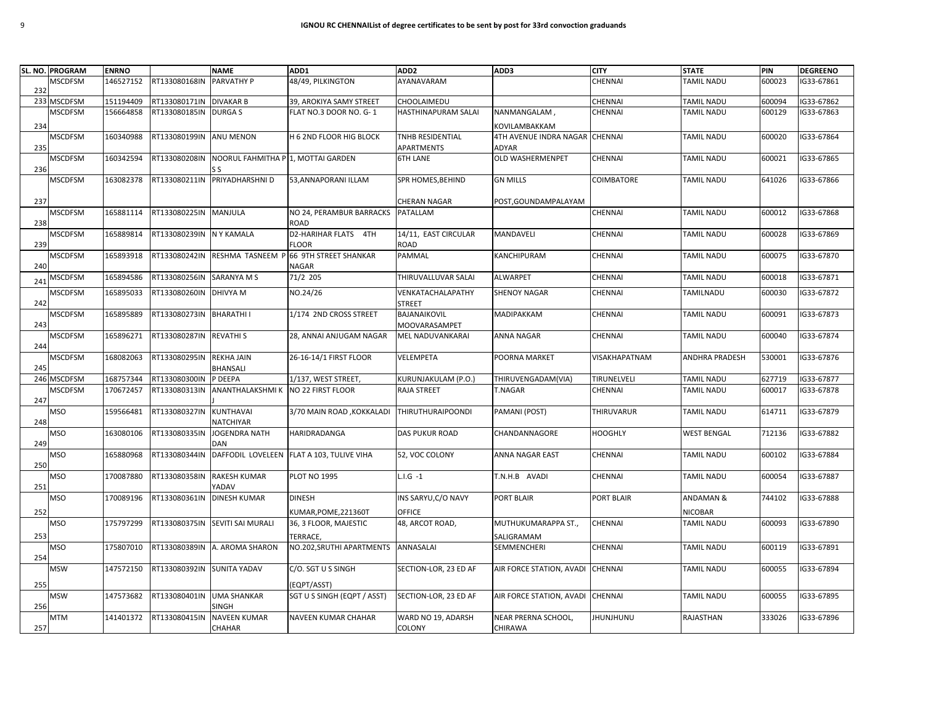|     | SL. NO. PROGRAM | <b>ENRNO</b> |                            | <b>NAME</b>                        | ADD1                                      | ADD <sub>2</sub>                    | ADD3                     | <b>CITY</b>      | <b>STATE</b>         | PIN    | <b>DEGREENO</b> |
|-----|-----------------|--------------|----------------------------|------------------------------------|-------------------------------------------|-------------------------------------|--------------------------|------------------|----------------------|--------|-----------------|
| 232 | <b>MSCDFSM</b>  | 146527152    | RT133080168IN              | PARVATHY P                         | 48/49, PILKINGTON                         | AYANAVARAM                          |                          | CHENNAI          | TAMIL NADU           | 600023 | G33-67861       |
| 233 | <b>MSCDFSM</b>  | 151194409    | RT133080171IN DIVAKAR B    |                                    | 39, AROKIYA SAMY STREET                   | CHOOLAIMEDU                         |                          | CHENNAI          | <b>TAMIL NADU</b>    | 600094 | G33-67862       |
|     | <b>MSCDFSM</b>  | 156664858    | RT133080185IN              | <b>DURGAS</b>                      | FLAT NO.3 DOOR NO. G-1                    | HASTHINAPURAM SALAI                 | NANMANGALAM,             | CHENNAI          | <b>TAMIL NADU</b>    | 600129 | G33-67863       |
| 234 |                 |              |                            |                                    |                                           |                                     | KOVILAMBAKKAM            |                  |                      |        |                 |
|     | <b>MSCDFSM</b>  | 160340988    | RT133080199IN ANU MENON    |                                    | H 6 2ND FLOOR HIG BLOCK                   | TNHB RESIDENTIAL                    | 4TH AVENUE INDRA NAGAR   | <b>CHENNAI</b>   | <b>TAMIL NADU</b>    | 600020 | G33-67864       |
| 235 |                 |              |                            |                                    |                                           | APARTMENTS                          | ADYAR                    |                  |                      |        |                 |
| 236 | <b>MSCDFSM</b>  | 160342594    | RT133080208IN              | NOORUL FAHMITHA P 1, MOTTAI GARDEN |                                           | <b>6TH LANE</b>                     | <b>OLD WASHERMENPET</b>  | CHENNAI          | <b>TAMIL NADU</b>    | 600021 | G33-67865       |
|     | <b>MSCDFSM</b>  | 163082378    | RT133080211IN              | PRIYADHARSHNI D                    | 53, ANNAPORANI ILLAM                      | SPR HOMES, BEHIND                   | <b>GN MILLS</b>          | COIMBATORE       | <b>TAMIL NADU</b>    | 641026 | G33-67866       |
|     |                 |              |                            |                                    |                                           |                                     |                          |                  |                      |        |                 |
| 237 |                 |              |                            |                                    |                                           | <b>CHERAN NAGAR</b>                 | POST, GOUNDAMPALAYAM     |                  |                      |        |                 |
|     | <b>MSCDFSM</b>  | 165881114    | RT133080225IN MANJULA      |                                    | NO 24, PERAMBUR BARRACKS                  | PATALLAM                            |                          | CHENNAI          | <b>TAMIL NADU</b>    | 600012 | G33-67868       |
| 238 |                 |              |                            |                                    | <b>ROAD</b>                               |                                     |                          |                  |                      |        |                 |
| 239 | <b>MSCDFSM</b>  | 165889814    | RT133080239IN NY KAMALA    |                                    | D2-HARIHAR FLATS 4TH<br><b>FLOOR</b>      | 14/11, EAST CIRCULAR<br><b>ROAD</b> | MANDAVELI                | CHENNAI          | TAMIL NADU           | 600028 | G33-67869       |
|     | <b>MSCDFSM</b>  | 165893918    | RT133080242IN              |                                    | RESHMA TASNEEM P 66 9TH STREET SHANKAR    | PAMMAL                              | KANCHIPURAM              | CHENNAI          | <b>TAMIL NADU</b>    | 600075 | G33-67870       |
| 240 |                 |              |                            |                                    | <b>NAGAR</b>                              |                                     |                          |                  |                      |        |                 |
| 241 | <b>MSCDFSM</b>  | 165894586    | RT133080256IN              | <b>SARANYA M S</b>                 | 71/2 205                                  | THIRUVALLUVAR SALAI                 | ALWARPET                 | CHENNAI          | <b>TAMIL NADU</b>    | 600018 | G33-67871       |
|     | <b>MSCDFSM</b>  | 165895033    | RT133080260IN DHIVYA M     |                                    | NO.24/26                                  | VENKATACHALAPATHY                   | <b>SHENOY NAGAR</b>      | CHENNAI          | TAMILNADU            | 600030 | G33-67872       |
| 242 |                 |              |                            |                                    |                                           | <b>STREET</b>                       |                          |                  |                      |        |                 |
|     | <b>MSCDFSM</b>  | 165895889    | RT133080273IN BHARATHI I   |                                    | 1/174 2ND CROSS STREET                    | BAJANAIKOVIL                        | MADIPAKKAM               | CHENNAI          | <b>TAMIL NADU</b>    | 600091 | IG33-67873      |
| 243 |                 |              |                            |                                    |                                           | MOOVARASAMPET                       |                          |                  |                      |        |                 |
| 244 | <b>MSCDFSM</b>  | 165896271    | RT133080287IN REVATHIS     |                                    | 28, ANNAI ANJUGAM NAGAR                   | <b>MEL NADUVANKARAI</b>             | <b>ANNA NAGAR</b>        | <b>CHENNAI</b>   | <b>TAMIL NADU</b>    | 600040 | G33-67874       |
|     | <b>MSCDFSM</b>  | 168082063    | RT133080295IN              | <b>REKHA JAIN</b>                  | 26-16-14/1 FIRST FLOOR                    | VELEMPETA                           | POORNA MARKET            | VISAKHAPATNAM    | ANDHRA PRADESH       | 530001 | G33-67876       |
| 245 |                 |              |                            | <b>BHANSALI</b>                    |                                           |                                     |                          |                  |                      |        |                 |
| 246 | <b>MSCDFSM</b>  | 168757344    | RT133080300IN              | P DEEPA                            | 1/137, WEST STREET                        | KURUNJAKULAM (P.O.)                 | THIRUVENGADAM(VIA)       | TIRUNELVELI      | <b>TAMIL NADU</b>    | 627719 | G33-67877       |
| 247 | <b>MSCDFSM</b>  | 170672457    | RT133080313IN              | ANANTHALAKSHMI K NO 22 FIRST FLOOR |                                           | <b>RAJA STREET</b>                  | T.NAGAR                  | <b>CHENNAI</b>   | TAMIL NADU           | 600017 | G33-67878       |
|     | MSO             | 159566481    | RT133080327IN              | <b>KUNTHAVAI</b>                   | 3/70 MAIN ROAD, KOKKALADI                 | <b>THIRUTHURAIPOONDI</b>            | PAMANI (POST)            | THIRUVARUR       | <b>TAMIL NADU</b>    | 614711 | G33-67879       |
| 248 |                 |              |                            | NATCHIYAR                          |                                           |                                     |                          |                  |                      |        |                 |
| 249 | <b>MSO</b>      | 163080106    | RT133080335IN              | <b>JOGENDRA NATH</b><br>DAN        | <b>HARIDRADANGA</b>                       | <b>DAS PUKUR ROAD</b>               | CHANDANNAGORE            | <b>HOOGHLY</b>   | <b>WEST BENGAL</b>   | 712136 | G33-67882       |
| 250 | MSO             | 165880968    | RT133080344IN              |                                    | DAFFODIL LOVELEEN FLAT A 103, TULIVE VIHA | 52, VOC COLONY                      | ANNA NAGAR EAST          | CHENNAI          | <b>TAMIL NADU</b>    | 600102 | G33-67884       |
|     | <b>MSO</b>      | 170087880    | RT133080358IN              | <b>RAKESH KUMAR</b>                | <b>PLOT NO 1995</b>                       | $L.I.G -1$                          | T.N.H.B AVADI            | CHENNAI          | <b>TAMIL NADU</b>    | 600054 | G33-67887       |
| 251 |                 |              |                            | YADAV                              |                                           |                                     |                          |                  |                      |        |                 |
|     | <b>MSO</b>      | 170089196    | RT133080361IN              | <b>DINESH KUMAR</b>                | <b>DINESH</b>                             | INS SARYU, C/O NAVY                 | PORT BLAIR               | PORT BLAIR       | <b>ANDAMAN &amp;</b> | 744102 | G33-67888       |
| 252 |                 |              |                            |                                    | KUMAR, POME, 221360T                      | OFFICE                              |                          |                  | <b>NICOBAR</b>       |        |                 |
|     | <b>MSO</b>      | 175797299    |                            | RT133080375IN SEVITI SAI MURALI    | 36, 3 FLOOR, MAJESTIC                     | 48, ARCOT ROAD,                     | MUTHUKUMARAPPA ST.,      | CHENNAI          | <b>TAMIL NADU</b>    | 600093 | G33-67890       |
| 253 |                 |              |                            |                                    | TERRACE,                                  |                                     | SALIGRAMAM               |                  |                      |        |                 |
|     | MSO             | 175807010    |                            | RT133080389IN A. AROMA SHARON      | NO.202, SRUTHI APARTMENTS                 | ANNASALAI                           | SEMMENCHERI              | CHENNAI          | TAMIL NADU           | 600119 | G33-67891       |
| 254 |                 |              |                            |                                    |                                           |                                     |                          |                  |                      |        |                 |
|     | <b>MSW</b>      | 147572150    | RT133080392IN SUNITA YADAV |                                    | C/O. SGT U S SINGH                        | SECTION-LOR, 23 ED AF               | AIR FORCE STATION, AVADI | CHENNAI          | <b>TAMIL NADU</b>    | 600055 | G33-67894       |
| 255 |                 |              |                            |                                    | (EQPT/ASST)                               |                                     |                          |                  |                      |        |                 |
|     | <b>MSW</b>      | 147573682    | RT133080401IN UMA SHANKAR  |                                    | SGT U S SINGH (EQPT / ASST)               | SECTION-LOR, 23 ED AF               | AIR FORCE STATION, AVADI | <b>CHENNAI</b>   | <b>TAMIL NADU</b>    | 600055 | IG33-67895      |
| 256 | <b>MTM</b>      | 141401372    | RT133080415IN              | SINGH<br><b>NAVEEN KUMAR</b>       | NAVEEN KUMAR CHAHAR                       | WARD NO 19, ADARSH                  | NEAR PRERNA SCHOOL,      | <b>JHUNJHUNU</b> | RAJASTHAN            | 333026 | G33-67896       |
| 257 |                 |              |                            | CHAHAR                             |                                           | COLONY                              | CHIRAWA                  |                  |                      |        |                 |
|     |                 |              |                            |                                    |                                           |                                     |                          |                  |                      |        |                 |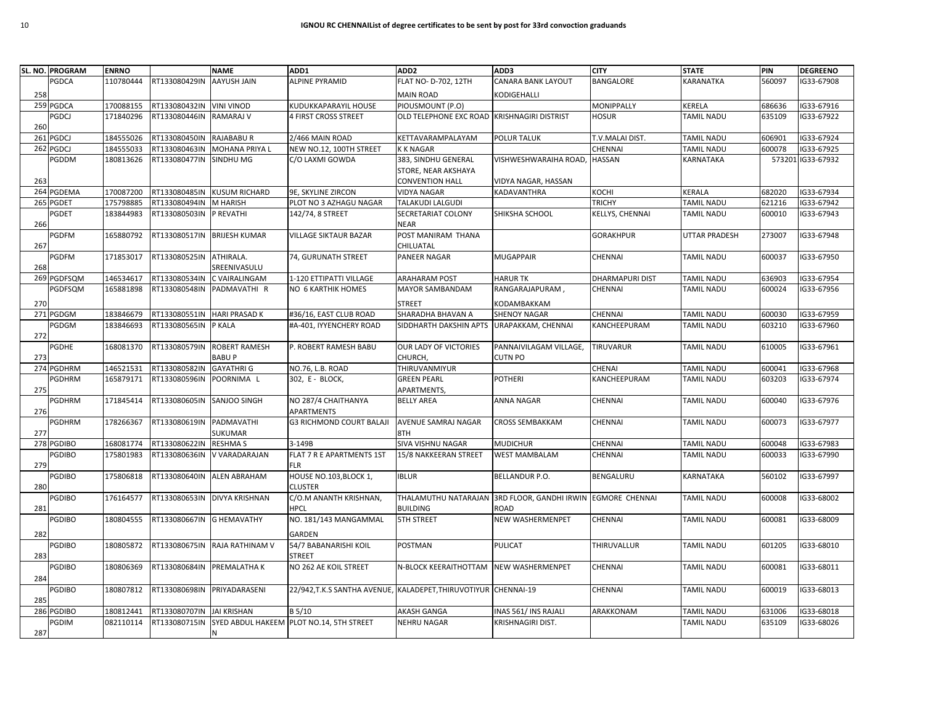|     | SL. NO. PROGRAM | <b>ENRNO</b> |                             | <b>NAME</b>                   | ADD1                                                            | ADD <sub>2</sub>                            | ADD3                    | <b>CITY</b>            | <b>STATE</b>         | PIN    | <b>DEGREENO</b>   |
|-----|-----------------|--------------|-----------------------------|-------------------------------|-----------------------------------------------------------------|---------------------------------------------|-------------------------|------------------------|----------------------|--------|-------------------|
|     | PGDCA           | 110780444    | RT133080429IN               | <b>AAYUSH JAIN</b>            | <b>ALPINE PYRAMID</b>                                           | FLAT NO- D-702, 12TH                        | CANARA BANK LAYOUT      | BANGALORE              | KARANATKA            | 560097 | G33-67908         |
| 258 |                 |              |                             |                               |                                                                 | <b>MAIN ROAD</b>                            | KODIGEHALLI             |                        |                      |        |                   |
|     | 259 PGDCA       | 170088155    | RT133080432IN               | <b>VINI VINOD</b>             | KUDUKKAPARAYIL HOUSE                                            | PIOUSMOUNT (P.O)                            |                         | <b>MONIPPALLY</b>      | KERELA               | 686636 | G33-67916         |
|     | PGDCJ           | 171840296    | RT133080446IN               | <b>RAMARAJ V</b>              | 4 FIRST CROSS STREET                                            | OLD TELEPHONE EXC ROAD KRISHNAGIRI DISTRIST |                         | <b>HOSUR</b>           | <b>TAMIL NADU</b>    | 635109 | G33-67922         |
| 260 |                 |              |                             |                               |                                                                 |                                             |                         |                        |                      |        |                   |
| 261 | PGDCJ           | 184555026    | RT133080450IN               | <b>RAJABABU R</b>             | 2/466 MAIN ROAD                                                 | KETTAVARAMPALAYAM                           | POLUR TALUK             | T.V.MALAI DIST.        | <b>TAMIL NADU</b>    | 606901 | IG33-67924        |
|     | 262 PGDCJ       | 184555033    | RT133080463IN               | <b>MOHANA PRIYA L</b>         | NEW NO.12, 100TH STREET                                         | <b>KKNAGAR</b>                              |                         | CHENNAI                | TAMIL NADU           | 600078 | G33-67925         |
|     | PGDDM           | 180813626    | RT133080477IN               | SINDHU MG                     | C/O LAXMI GOWDA                                                 | 383, SINDHU GENERAL                         | VISHWESHWARAIHA ROAD,   | <b>HASSAN</b>          | KARNATAKA            |        | 573201 IG33-67932 |
|     |                 |              |                             |                               |                                                                 | STORE, NEAR AKSHAYA                         |                         |                        |                      |        |                   |
| 263 |                 |              |                             |                               |                                                                 | <b>CONVENTION HALL</b>                      | VIDYA NAGAR, HASSAN     |                        |                      |        |                   |
|     | 264 PGDEMA      | 170087200    | RT133080485IN               | <b>KUSUM RICHARD</b>          | 9E, SKYLINE ZIRCON                                              | <b>VIDYA NAGAR</b>                          | KADAVANTHRA             | KOCHI                  | KERALA               | 682020 | G33-67934         |
|     | 265 PGDET       | 175798885    | RT133080494IN               | M HARISH                      | PLOT NO 3 AZHAGU NAGAR                                          | TALAKUDI LALGUDI                            |                         | <b>TRICHY</b>          | <b>TAMIL NADU</b>    | 621216 | G33-67942         |
|     | PGDET           | 183844983    | RT133080503IN               | P REVATHI                     | 142/74, 8 STREET                                                | SECRETARIAT COLONY                          | SHIKSHA SCHOOL          | KELLYS, CHENNAI        | TAMIL NADU           | 600010 | G33-67943         |
| 266 |                 |              |                             |                               |                                                                 | NEAR                                        |                         |                        |                      |        |                   |
|     | PGDFM           | 165880792    | RT133080517IN BRIJESH KUMAR |                               | <b>VILLAGE SIKTAUR BAZAR</b>                                    | POST MANIRAM THANA                          |                         | <b>GORAKHPUR</b>       | <b>UTTAR PRADESH</b> | 273007 | G33-67948         |
| 267 |                 |              |                             |                               |                                                                 | CHILUATAL                                   |                         |                        |                      |        |                   |
|     | <b>PGDFM</b>    | 171853017    | RT133080525IN               | ATHIRALA.                     | 74, GURUNATH STREET                                             | PANEER NAGAR                                | <b>MUGAPPAIR</b>        | CHENNAI                | <b>TAMIL NADU</b>    | 600037 | G33-67950         |
| 268 |                 |              |                             | SREENIVASULU                  |                                                                 |                                             |                         |                        |                      |        |                   |
|     | 269 PGDFSQM     | 146534617    | RT133080534IN               | C VAIRALINGAM                 | 1-120 ETTIPATTI VILLAGE                                         | <b>ARAHARAM POST</b>                        | <b>HARUR TK</b>         | <b>DHARMAPURI DIST</b> | <b>TAMIL NADU</b>    | 636903 | IG33-67954        |
|     | PGDFSQM         | 165881898    | RT133080548IN               | PADMAVATHI R                  | NO 6 KARTHIK HOMES                                              | MAYOR SAMBANDAM                             | RANGARAJAPURAM,         | <b>CHENNAI</b>         | TAMIL NADU           | 600024 | G33-67956         |
| 270 |                 |              |                             |                               |                                                                 | <b>STREET</b>                               | KODAMBAKKAM             |                        |                      |        |                   |
| 271 | PGDGM           | 183846679    | RT133080551IN               | <b>HARI PRASAD K</b>          | #36/16, EAST CLUB ROAD                                          | SHARADHA BHAVAN A                           | <b>SHENOY NAGAR</b>     | CHENNAI                | TAMIL NADU           | 600030 | G33-67959         |
|     | PGDGM           | 183846693    | RT133080565IN               | P KALA                        | #A-401, IYYENCHERY ROAD                                         | SIDDHARTH DAKSHIN APTS                      | URAPAKKAM, CHENNAI      | KANCHEEPURAM           | TAMIL NADU           | 603210 | G33-67960         |
| 272 |                 |              |                             |                               |                                                                 |                                             |                         |                        |                      |        |                   |
|     | PGDHE           | 168081370    | RT133080579IN               | ROBERT RAMESH                 | P. ROBERT RAMESH BABU                                           | OUR LADY OF VICTORIES                       | PANNAIVILAGAM VILLAGE,  | <b>TIRUVARUR</b>       | <b>TAMIL NADU</b>    | 610005 | G33-67961         |
| 273 |                 |              |                             | <b>BABUP</b>                  |                                                                 | CHURCH,                                     | CUTN PO                 |                        |                      |        |                   |
|     | 274 PGDHRM      | 146521531    | RT133080582IN               | <b>GAYATHRI G</b>             | NO.76, L.B. ROAD                                                | THIRUVANMIYUR                               |                         | CHENAI                 | <b>TAMIL NADU</b>    | 600041 | G33-67968         |
|     | <b>PGDHRM</b>   | 165879171    | RT133080596IN               | POORNIMA L                    | 302, E - BLOCK,                                                 | <b>GREEN PEARL</b>                          | <b>POTHERI</b>          | KANCHEEPURAM           | TAMIL NADU           | 603203 | G33-67974         |
| 275 |                 |              |                             |                               |                                                                 | APARTMENTS,                                 |                         |                        |                      |        |                   |
|     | <b>PGDHRM</b>   | 171845414    | RT133080605IN               | SANJOO SINGH                  | NO 287/4 CHAITHANYA                                             | <b>BELLY AREA</b>                           | <b>ANNA NAGAR</b>       | CHENNAI                | <b>TAMIL NADU</b>    | 600040 | G33-67976         |
| 276 |                 | 178266367    | RT133080619IN               | PADMAVATHI                    | APARTMENTS<br><b>G3 RICHMOND COURT BALAJI</b>                   | AVENUE SAMRAJ NAGAR                         | CROSS SEMBAKKAM         | CHENNAI                | <b>TAMIL NADU</b>    | 600073 | G33-67977         |
| 277 | PGDHRM          |              |                             | SUKUMAR                       |                                                                 | 8TH                                         |                         |                        |                      |        |                   |
|     | 278 PGDIBO      | 168081774    | RT133080622IN               | <b>RESHMA S</b>               | 3-149B                                                          | SIVA VISHNU NAGAR                           | <b>MUDICHUR</b>         | CHENNAI                | <b>TAMIL NADU</b>    | 600048 | G33-67983         |
|     | <b>PGDIBO</b>   | 175801983    | RT133080636IN               | V VARADARAJAN                 | FLAT 7 R E APARTMENTS 1ST                                       | 15/8 NAKKEERAN STREET                       | WEST MAMBALAM           | CHENNAI                | TAMIL NADU           | 600033 | G33-67990         |
| 279 |                 |              |                             |                               | <b>FLR</b>                                                      |                                             |                         |                        |                      |        |                   |
|     | <b>PGDIBO</b>   | 175806818    | RT133080640IN               | <b>ALEN ABRAHAM</b>           | HOUSE NO.103, BLOCK 1,                                          | <b>IBLUR</b>                                | <b>BELLANDUR P.O.</b>   | BENGALURU              | KARNATAKA            | 560102 | G33-67997         |
| 280 |                 |              |                             |                               | <b>CLUSTER</b>                                                  |                                             |                         |                        |                      |        |                   |
|     | PGDIBO          | 176164577    |                             | RT133080653IN DIVYA KRISHNAN  | C/O.M ANANTH KRISHNAN,                                          | THALAMUTHU NATARAJAN                        | 3RD FLOOR, GANDHI IRWIN | <b>EGMORE CHENNAI</b>  | TAMIL NADU           | 600008 | G33-68002         |
| 281 |                 |              |                             |                               | <b>HPCL</b>                                                     | <b>BUILDING</b>                             | ROAD                    |                        |                      |        |                   |
|     | <b>PGDIBO</b>   | 180804555    | RT133080667IN G HEMAVATHY   |                               | NO. 181/143 MANGAMMAL                                           | <b>5TH STREET</b>                           | <b>NEW WASHERMENPET</b> | CHENNAI                | <b>TAMIL NADU</b>    | 600081 | G33-68009         |
| 282 |                 |              |                             |                               | GARDEN                                                          |                                             |                         |                        |                      |        |                   |
|     | <b>PGDIBO</b>   | 180805872    |                             | RT133080675IN RAJA RATHINAM V | 54/7 BABANARISHI KOIL                                           | <b>POSTMAN</b>                              | PULICAT                 | THIRUVALLUR            | TAMIL NADU           | 601205 | G33-68010         |
| 283 |                 |              |                             |                               | <b>STREET</b>                                                   |                                             |                         |                        |                      |        |                   |
|     | PGDIBO          | 180806369    | RT133080684IN PREMALATHAK   |                               | NO 262 AE KOIL STREET                                           | N-BLOCK KEERAITHOTTAM                       | <b>NEW WASHERMENPET</b> | CHENNAI                | <b>TAMIL NADU</b>    | 600081 | G33-68011         |
| 284 |                 |              |                             |                               |                                                                 |                                             |                         |                        |                      |        |                   |
|     | PGDIBO          | 180807812    | RT133080698IN PRIYADARASENI |                               | 22/942, T.K.S SANTHA AVENUE, KALADEPET, THIRUVOTIYUR CHENNAI-19 |                                             |                         | <b>CHENNAI</b>         | <b>TAMIL NADU</b>    | 600019 | G33-68013         |
| 285 |                 |              |                             |                               |                                                                 |                                             |                         |                        |                      |        |                   |
|     | 286 PGDIBO      | 180812441    | RT133080707IN               | <b>JAI KRISHAN</b>            | B 5/10                                                          | AKASH GANGA                                 | INAS 561/INS RAJALI     | ARAKKONAM              | <b>TAMIL NADU</b>    | 631006 | G33-68018         |
|     | <b>GDIM</b>     | 082110114    | RT133080715IN               |                               | SYED ABDUL HAKEEM PLOT NO.14, 5TH STREET                        | <b>NEHRU NAGAR</b>                          | KRISHNAGIRI DIST.       |                        | <b>TAMIL NADU</b>    | 635109 | G33-68026         |
| 287 |                 |              |                             | N                             |                                                                 |                                             |                         |                        |                      |        |                   |
|     |                 |              |                             |                               |                                                                 |                                             |                         |                        |                      |        |                   |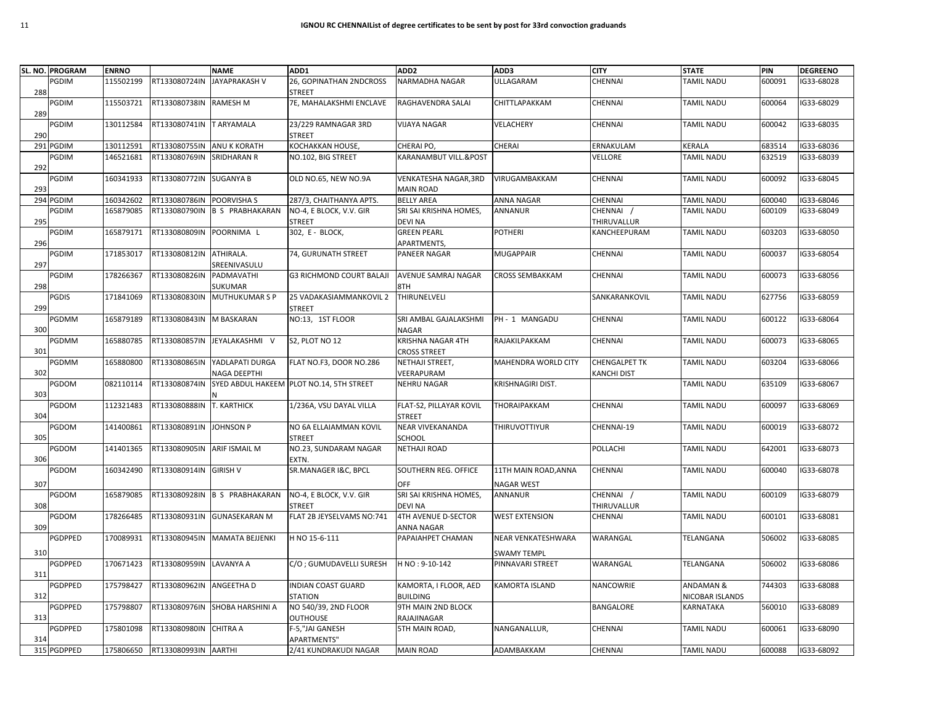|     | SL. NO. PROGRAM | <b>ENRNO</b> |                             | <b>NAME</b>                     | ADD1                                     | ADD <sub>2</sub>                          | ADD3                               | <b>CITY</b>                         | <b>STATE</b>                            | PIN    | <b>DEGREENO</b> |
|-----|-----------------|--------------|-----------------------------|---------------------------------|------------------------------------------|-------------------------------------------|------------------------------------|-------------------------------------|-----------------------------------------|--------|-----------------|
| 288 | PGDIM           | 115502199    | RT133080724IN               | <b>JAYAPRAKASH V</b>            | 26, GOPINATHAN 2NDCROSS<br><b>STREET</b> | NARMADHA NAGAR                            | ULLAGARAM                          | CHENNAI                             | <b>TAMIL NADU</b>                       | 600091 | IG33-68028      |
| 289 | PGDIM           | 115503721    | RT133080738IN RAMESH M      |                                 | 7E, MAHALAKSHMI ENCLAVE                  | RAGHAVENDRA SALAI                         | CHITTLAPAKKAM                      | CHENNAI                             | <b>TAMIL NADU</b>                       | 600064 | G33-68029       |
| 290 | PGDIM           | 130112584    | RT133080741IN TARYAMALA     |                                 | 23/229 RAMNAGAR 3RD<br><b>STREET</b>     | <b>VIJAYA NAGAR</b>                       | VELACHERY                          | <b>CHENNAI</b>                      | <b>TAMIL NADU</b>                       | 600042 | IG33-68035      |
| 291 | <b>PGDIM</b>    | 130112591    | RT133080755IN               | ANU K KORATH                    | KOCHAKKAN HOUSE,                         | CHERAI PO.                                | CHERAI                             | ERNAKULAM                           | KERALA                                  | 683514 | G33-68036       |
| 292 | PGDIM           | 146521681    | RT133080769IN               | <b>SRIDHARAN R</b>              | NO.102, BIG STREET                       | KARANAMBUT VILL.&POST                     |                                    | VELLORE                             | TAMIL NADU                              | 632519 | G33-68039       |
| 293 | PGDIM           | 160341933    | RT133080772IN SUGANYA B     |                                 | OLD NO.65, NEW NO.9A                     | VENKATESHA NAGAR, 3RD<br><b>MAIN ROAD</b> | VIRUGAMBAKKAM                      | CHENNAI                             | <b>TAMIL NADU</b>                       | 600092 | G33-68045       |
| 294 | <b>PGDIM</b>    | 160342602    | RT133080786IN POORVISHAS    |                                 | 287/3, CHAITHANYA APTS.                  | <b>BELLY AREA</b>                         | ANNA NAGAR                         | CHENNAI                             | TAMIL NADU                              | 600040 | G33-68046       |
| 295 | PGDIM           | 165879085    |                             | RT133080790IN B S PRABHAKARAN   | NO-4, E BLOCK, V.V. GIR<br><b>STREET</b> | SRI SAI KRISHNA HOMES,<br><b>DEVI NA</b>  | ANNANUR                            | CHENNAI<br>THIRUVALLUR              | <b>TAMIL NADU</b>                       | 600109 | G33-68049       |
| 296 | PGDIM           | 165879171    | RT133080809IN POORNIMA L    |                                 | 302, E - BLOCK,                          | <b>GREEN PEARL</b><br>APARTMENTS,         | <b>POTHERI</b>                     | KANCHEEPURAM                        | <b>TAMIL NADU</b>                       | 603203 | G33-68050       |
| 297 | <b>GDIM</b>     | 171853017    | RT133080812IN ATHIRALA.     | SREENIVASULU                    | 74, GURUNATH STREET                      | PANEER NAGAR                              | <b>MUGAPPAIR</b>                   | CHENNAI                             | <b>TAMIL NADU</b>                       | 600037 | IG33-68054      |
| 298 | PGDIM           | 178266367    | RT133080826IN               | PADMAVATHI<br>SUKUMAR           | <b>G3 RICHMOND COURT BALAJI</b>          | AVENUE SAMRAJ NAGAR<br>8TH                | <b>CROSS SEMBAKKAM</b>             | <b>CHENNAI</b>                      | <b>TAMIL NADU</b>                       | 600073 | IG33-68056      |
| 299 | PGDIS           | 171841069    |                             | RT133080830IN MUTHUKUMAR S P    | 25 VADAKASIAMMANKOVIL 2<br><b>STREET</b> | THIRUNELVELI                              |                                    | SANKARANKOVIL                       | TAMIL NADU                              | 627756 | G33-68059       |
| 300 | PGDMM           | 165879189    | RT133080843IN M BASKARAN    |                                 | NO:13, 1ST FLOOR                         | SRI AMBAL GAJALAKSHMI<br>NAGAR            | PH - 1 MANGADU                     | CHENNAI                             | TAMIL NADU                              | 600122 | G33-68064       |
| 301 | <b>PGDMM</b>    | 165880785    |                             | RT133080857IN JEYALAKASHMI V    | S2, PLOT NO 12                           | KRISHNA NAGAR 4TH<br><b>CROSS STREET</b>  | RAJAKILPAKKAM                      | CHENNAI                             | <b>TAMIL NADU</b>                       | 600073 | G33-68065       |
| 302 | PGDMM           | 165880800    | RT133080865IN               | YADLAPATI DURGA<br>NAGA DEEPTHI | FLAT NO.F3, DOOR NO.286                  | NETHAJI STREET,<br>VEERAPURAM             | <b>MAHENDRA WORLD CITY</b>         | <b>CHENGALPET TK</b><br>KANCHI DIST | <b>TAMIL NADU</b>                       | 603204 | G33-68066       |
| 303 | PGDOM           | 082110114    | RT133080874IN               |                                 | SYED ABDUL HAKEEM PLOT NO.14, 5TH STREET | <b>NEHRU NAGAR</b>                        | KRISHNAGIRI DIST.                  |                                     | TAMIL NADU                              | 635109 | G33-68067       |
| 304 | <b>PGDOM</b>    | 112321483    | RT133080888IN T. KARTHICK   |                                 | 1/236A, VSU DAYAL VILLA                  | FLAT-S2, PILLAYAR KOVIL<br><b>STREET</b>  | THORAIPAKKAM                       | CHENNAI                             | <b>TAMIL NADU</b>                       | 600097 | G33-68069       |
| 305 | PGDOM           | 141400861    | RT133080891IN JOHNSON P     |                                 | NO 6A ELLAIAMMAN KOVIL<br><b>STREET</b>  | <b>NEAR VIVEKANANDA</b><br>SCHOOL         | THIRUVOTTIYUR                      | CHENNAI-19                          | <b>TAMIL NADU</b>                       | 600019 | IG33-68072      |
| 306 | PGDOM           | 141401365    | RT133080905IN ARIF ISMAIL M |                                 | NO.23, SUNDARAM NAGAR<br>EXTN.           | <b>NETHAJI ROAD</b>                       |                                    | POLLACHI                            | <b>TAMIL NADU</b>                       | 642001 | G33-68073       |
| 307 | PGDOM           | 160342490    | RT133080914IN GIRISH V      |                                 | SR.MANAGER I&C, BPCL                     | SOUTHERN REG. OFFICE<br>OFF               | 11TH MAIN ROAD, ANNA<br>NAGAR WEST | CHENNAI                             | TAMIL NADU                              | 600040 | G33-68078       |
| 308 | <b>GDOM</b>     | 165879085    |                             | RT133080928IN B S PRABHAKARAN   | NO-4, E BLOCK, V.V. GIR                  | SRI SAI KRISHNA HOMES,<br><b>DEVI NA</b>  | ANNANUR                            | CHENNAI /<br>THIRUVALLUR            | TAMIL NADU                              | 600109 | G33-68079       |
|     | <b>PGDOM</b>    | 178266485    |                             | RT133080931IN GUNASEKARAN M     | STREET<br>FLAT 2B JEYSELVAMS NO:741      | 4TH AVENUE D-SECTOR<br>ANNA NAGAR         | <b>WEST EXTENSION</b>              | CHENNAI                             | <b>TAMIL NADU</b>                       | 600101 | G33-68081       |
| 309 | PGDPPED         | 170089931    |                             | RT133080945IN MAMATA BEJJENKI   | H NO 15-6-111                            | PAPAIAHPET CHAMAN                         | <b>NEAR VENKATESHWARA</b>          | WARANGAL                            | TELANGANA                               | 506002 | IG33-68085      |
| 310 |                 |              |                             |                                 |                                          |                                           | SWAMY TEMPL                        |                                     |                                         |        |                 |
| 311 | <b>GDPPED</b>   | 170671423    | RT133080959IN LAVANYA A     |                                 | C/O; GUMUDAVELLI SURESH                  | H NO: 9-10-142                            | PINNAVARI STREET                   | WARANGAL                            | TELANGANA                               | 506002 | G33-68086       |
| 312 | PGDPPED         | 175798427    | RT133080962IN ANGEETHA D    |                                 | <b>INDIAN COAST GUARD</b><br>STATION     | KAMORTA, I FLOOR, AED<br><b>BUILDING</b>  | <b>KAMORTA ISLAND</b>              | NANCOWRIE                           | <b>ANDAMAN &amp;</b><br>NICOBAR ISLANDS | 744303 | G33-68088       |
| 313 | PGDPPED         | 175798807    |                             | RT133080976IN SHOBA HARSHINI A  | NO 540/39, 2ND FLOOR<br><b>OUTHOUSE</b>  | 9TH MAIN 2ND BLOCK<br>RAJAJINAGAR         |                                    | BANGALORE                           | KARNATAKA                               | 560010 | G33-68089       |
| 314 | PGDPPED         | 175801098    | RT133080980IN CHITRA A      |                                 | F-5,"JAI GANESH<br>APARTMENTS"           | 5TH MAIN ROAD,                            | NANGANALLUR,                       | <b>CHENNAI</b>                      | TAMIL NADU                              | 600061 | G33-68090       |
|     | 315 PGDPPED     | 175806650    | RT133080993IN AARTHI        |                                 | 2/41 KUNDRAKUDI NAGAR                    | <b>MAIN ROAD</b>                          | ADAMBAKKAM                         | CHENNAI                             | <b>TAMIL NADU</b>                       | 600088 | IG33-68092      |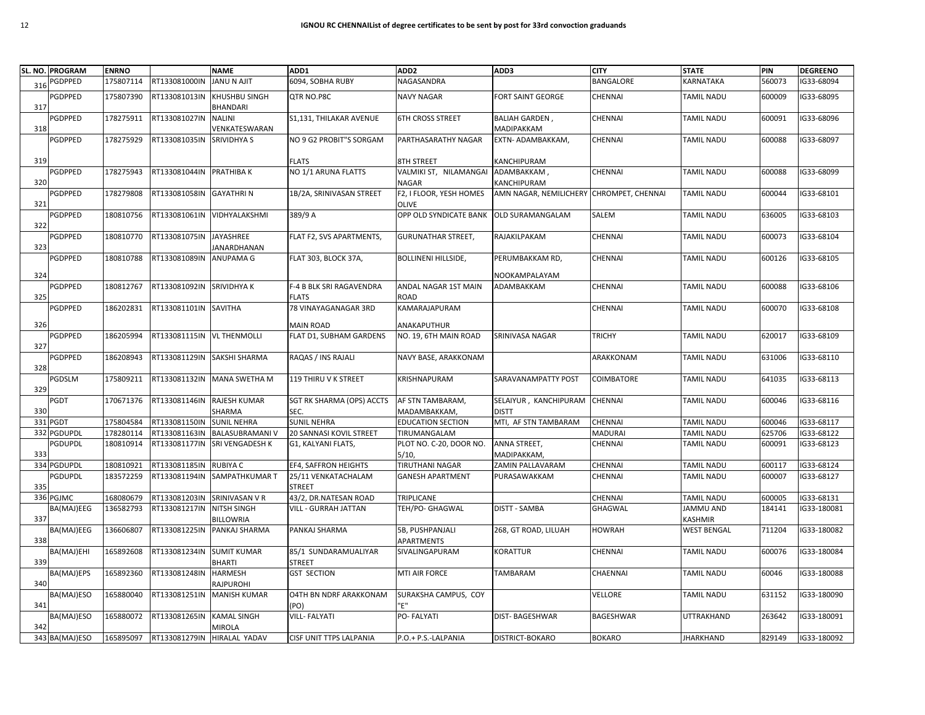|     | SL. NO. PROGRAM | <b>ENRNO</b>           |                                | <b>NAME</b>                                  | ADD1                            | ADD <sub>2</sub>                         | ADD3                                     | <b>CITY</b>      | <b>STATE</b>             | PIN    | <b>DEGREENO</b> |
|-----|-----------------|------------------------|--------------------------------|----------------------------------------------|---------------------------------|------------------------------------------|------------------------------------------|------------------|--------------------------|--------|-----------------|
| 316 | <b>PGDPPED</b>  | 175807114              | RT133081000IN                  | <b>JANU N AJIT</b>                           | 6094, SOBHA RUBY                | NAGASANDRA                               |                                          | <b>BANGALORE</b> | KARNATAKA                | 560073 | IG33-68094      |
|     | <b>PGDPPED</b>  | 175807390              | RT133081013IN                  | <b>KHUSHBU SINGH</b>                         | QTR NO.P8C                      | <b>NAVY NAGAR</b>                        | FORT SAINT GEORGE                        | CHENNAI          | TAMIL NADU               | 600009 | G33-68095       |
| 317 |                 |                        |                                | <b>BHANDARI</b>                              |                                 |                                          |                                          |                  |                          |        |                 |
|     | <b>GDPPED</b>   | 178275911              | RT133081027IN                  | <b>NALINI</b>                                | S1,131, THILAKAR AVENUE         | <b>6TH CROSS STREET</b>                  | <b>BALIAH GARDEN,</b>                    | CHENNAI          | TAMIL NADU               | 600091 | G33-68096       |
| 318 |                 |                        |                                | VENKATESWARAN                                |                                 |                                          | <b>MADIPAKKAM</b>                        |                  |                          |        |                 |
|     | PGDPPED         | 178275929              | RT133081035IN                  | <b>SRIVIDHYA S</b>                           | NO 9 G2 PROBIT"S SORGAM         | PARTHASARATHY NAGAR                      | EXTN- ADAMBAKKAM,                        | <b>CHENNAI</b>   | TAMIL NADU               | 600088 | IG33-68097      |
|     |                 |                        |                                |                                              |                                 |                                          |                                          |                  |                          |        |                 |
| 319 |                 |                        |                                |                                              | <b>FLATS</b>                    | 8TH STREET                               | KANCHIPURAM                              |                  |                          |        |                 |
|     | PGDPPED         | 178275943              | RT133081044IN PRATHIBA K       |                                              | NO 1/1 ARUNA FLATTS             | VALMIKI ST, NILAMANGAI                   | ADAMBAKKAM,                              | CHENNAI          | TAMIL NADU               | 600088 | IG33-68099      |
| 320 |                 |                        |                                |                                              |                                 | NAGAR                                    | KANCHIPURAM                              |                  |                          |        |                 |
|     | PGDPPED         | 178279808              | RT133081058IN                  | <b>GAYATHRIN</b>                             | 1B/2A, SRINIVASAN STREET        | F2, I FLOOR, YESH HOMES                  | AMN NAGAR, NEMILICHERY CHROMPET, CHENNAI |                  | TAMIL NADU               | 600044 | IG33-68101      |
| 321 |                 |                        |                                |                                              |                                 | <b>OLIVE</b>                             |                                          |                  |                          |        |                 |
|     | PGDPPED         | 180810756              |                                | RT133081061IN VIDHYALAKSHMI                  | 389/9 A                         | OPP OLD SYNDICATE BANK                   | OLD SURAMANGALAM                         | SALEM            | TAMIL NADU               | 636005 | IG33-68103      |
| 322 | PGDPPED         | 180810770              | RT133081075IN                  | JAYASHREE                                    | FLAT F2, SVS APARTMENTS,        | <b>GURUNATHAR STREET,</b>                | RAJAKILPAKAM                             | <b>CHENNAI</b>   | TAMIL NADU               | 600073 | G33-68104       |
| 323 |                 |                        |                                | JANARDHANAN                                  |                                 |                                          |                                          |                  |                          |        |                 |
|     | PGDPPED         | 180810788              | RT133081089IN ANUPAMA G        |                                              | FLAT 303, BLOCK 37A,            | <b>BOLLINENI HILLSIDE,</b>               | PERUMBAKKAM RD,                          | CHENNAI          | TAMIL NADU               | 600126 | G33-68105       |
|     |                 |                        |                                |                                              |                                 |                                          |                                          |                  |                          |        |                 |
| 324 |                 |                        |                                |                                              |                                 |                                          | NOOKAMPALAYAM                            |                  |                          |        |                 |
|     | PGDPPED         | 180812767              | RT133081092IN SRIVIDHYA K      |                                              | <b>F-4 B BLK SRI RAGAVENDRA</b> | ANDAL NAGAR 1ST MAIN                     | ADAMBAKKAM                               | <b>CHENNAI</b>   | TAMIL NADU               | 600088 | IG33-68106      |
| 325 |                 |                        |                                |                                              | <b>FLATS</b>                    | <b>ROAD</b>                              |                                          |                  |                          |        |                 |
|     | PGDPPED         | 186202831              | RT133081101IN SAVITHA          |                                              | 78 VINAYAGANAGAR 3RD            | KAMARAJAPURAM                            |                                          | CHENNAI          | TAMIL NADU               | 600070 | G33-68108       |
| 326 |                 |                        |                                |                                              | <b>MAIN ROAD</b>                | ANAKAPUTHUR                              |                                          |                  |                          |        |                 |
|     | <b>GDPPED</b>   | 186205994              | RT133081115IN VL THENMOLLI     |                                              | FLAT D1, SUBHAM GARDENS         | NO. 19, 6TH MAIN ROAD                    | SRINIVASA NAGAR                          | <b>TRICHY</b>    | TAMIL NADU               | 620017 | G33-68109       |
| 327 |                 |                        |                                |                                              |                                 |                                          |                                          |                  |                          |        |                 |
|     | PGDPPED         | 186208943              |                                | RT133081129IN SAKSHI SHARMA                  | RAQAS / INS RAJALI              | NAVY BASE, ARAKKONAM                     |                                          | ARAKKONAM        | TAMIL NADU               | 631006 | IG33-68110      |
| 328 |                 |                        |                                |                                              |                                 |                                          |                                          |                  |                          |        |                 |
|     | PGDSLM          | 175809211              | RT133081132IN                  | <b>MANA SWETHA M</b>                         | 119 THIRU V K STREET            | KRISHNAPURAM                             | SARAVANAMPATTY POST                      | COIMBATORE       | TAMIL NADU               | 641035 | IG33-68113      |
| 329 |                 |                        |                                |                                              |                                 |                                          |                                          |                  |                          |        |                 |
|     | PGDT            | 170671376              | RT133081146IN                  | <b>RAJESH KUMAR</b>                          | SGT RK SHARMA (OPS) ACCTS       | AF STN TAMBARAM,                         | SELAIYUR, KANCHIPURAM                    | <b>CHENNAI</b>   | TAMIL NADU               | 600046 | G33-68116       |
| 330 | 331 PGDT        |                        |                                | SHARMA                                       | SEC.<br><b>SUNIL NEHRA</b>      | MADAMBAKKAM,<br><b>EDUCATION SECTION</b> | <b>DISTT</b><br>MTI, AF STN TAMBARAM     | <b>CHENNAI</b>   |                          | 600046 | G33-68117       |
| 332 | <b>PGDUPDL</b>  | 175804584<br>178280114 | RT133081150IN<br>RT133081163IN | <b>SUNIL NEHRA</b><br><b>BALASUBRAMANI V</b> | 20 SANNASI KOVIL STREET         | TIRUMANGALAM                             |                                          | <b>MADURAI</b>   | TAMIL NADU<br>TAMIL NADU | 625706 | G33-68122       |
|     | <b>PGDUPDL</b>  | 180810914              | RT133081177IN                  | <b>SRI VENGADESH K</b>                       | G1, KALYANI FLATS,              | PLOT NO. C-20, DOOR NO.                  | ANNA STREET,                             | CHENNAI          | TAMIL NADU               | 600091 | G33-68123       |
| 333 |                 |                        |                                |                                              |                                 | 5/10                                     | <b>MADIPAKKAM</b>                        |                  |                          |        |                 |
|     | 334 PGDUPDL     | 180810921              | RT133081185IN                  | <b>RUBIYA C</b>                              | EF4, SAFFRON HEIGHTS            | <b>TIRUTHANI NAGAR</b>                   | ZAMIN PALLAVARAM                         | CHENNAI          | TAMIL NADU               | 600117 | IG33-68124      |
|     | <b>PGDUPDL</b>  | 183572259              | RT133081194IN                  | SAMPATHKUMAR T                               | 25/11 VENKATACHALAM             | <b>GANESH APARTMENT</b>                  | PURASAWAKKAM                             | CHENNAI          | TAMIL NADU               | 600007 | G33-68127       |
| 335 |                 |                        |                                |                                              | <b>STREET</b>                   |                                          |                                          |                  |                          |        |                 |
|     | 336 PGJMC       | 168080679              | RT133081203IN                  | SRINIVASAN V R                               | 43/2, DR.NATESAN ROAD           | TRIPLICANE                               |                                          | <b>CHENNAI</b>   | TAMIL NADU               | 600005 | G33-68131       |
|     | BA(MAJ)EEG      | 136582793              | RT133081217IN                  | <b>NITSH SINGH</b>                           | <b>VILL - GURRAH JATTAN</b>     | TEH/PO- GHAGWAL                          | <b>DISTT - SAMBA</b>                     | GHAGWAL          | <b>JAMMU AND</b>         | 184141 | G33-180081      |
| 337 |                 |                        |                                | <b>BILLOWRIA</b>                             |                                 |                                          |                                          |                  | KASHMIR                  |        |                 |
|     | BA(MAJ)EEG      | 136606807              | RT133081225IN                  | PANKAJ SHARMA                                | PANKAJ SHARMA                   | 5B, PUSHPANJALI                          | 268, GT ROAD, LILUAH                     | <b>HOWRAH</b>    | WEST BENGAL              | 711204 | G33-180082      |
| 338 |                 |                        |                                |                                              |                                 | <b>APARTMENTS</b>                        |                                          |                  |                          |        |                 |
|     | BA(MAJ)EHI      | 165892608              | RT133081234IN                  | <b>SUMIT KUMAR</b>                           | 85/1 SUNDARAMUALIYAR            | SIVALINGAPURAM                           | KORATTUR                                 | CHENNAI          | TAMIL NADU               | 600076 | IG33-180084     |
| 339 |                 |                        |                                | <b>BHARTI</b>                                | <b>STREET</b>                   |                                          |                                          |                  |                          |        |                 |
|     | BA(MAJ)EPS      | 165892360              | RT133081248IN                  | <b>HARMESH</b>                               | <b>GST SECTION</b>              | MTI AIR FORCE                            | TAMBARAM                                 | CHAENNAI         | TAMIL NADU               | 60046  | G33-180088      |
| 340 |                 |                        | RT133081251IN                  | RAJPUROHI<br><b>MANISH KUMAR</b>             |                                 | SURAKSHA CAMPUS, COY                     |                                          |                  |                          | 631152 | G33-180090      |
| 341 | BA(MAJ)ESO      | 165880040              |                                |                                              | O4TH BN NDRF ARAKKONAM<br>(PO)  | 'F"                                      |                                          | VELLORE          | TAMIL NADU               |        |                 |
|     | BA(MAJ)ESO      | 165880072              | RT133081265IN                  | <b>KAMAL SINGH</b>                           | <b>VILL-FALYATI</b>             | PO-FALYATI                               | DIST-BAGESHWAR                           | BAGESHWAR        | UTTRAKHAND               | 263642 | G33-180091      |
| 342 |                 |                        |                                | <b>MIROLA</b>                                |                                 |                                          |                                          |                  |                          |        |                 |
|     | 343 BA(MAJ)ESO  | 165895097              | RT133081279IN HIRALAL YADAV    |                                              | CISF UNIT TTPS LALPANIA         | P.O.+ P.S.-LALPANIA                      | DISTRICT-BOKARO                          | <b>BOKARO</b>    | JHARKHAND                | 829149 | IG33-180092     |
|     |                 |                        |                                |                                              |                                 |                                          |                                          |                  |                          |        |                 |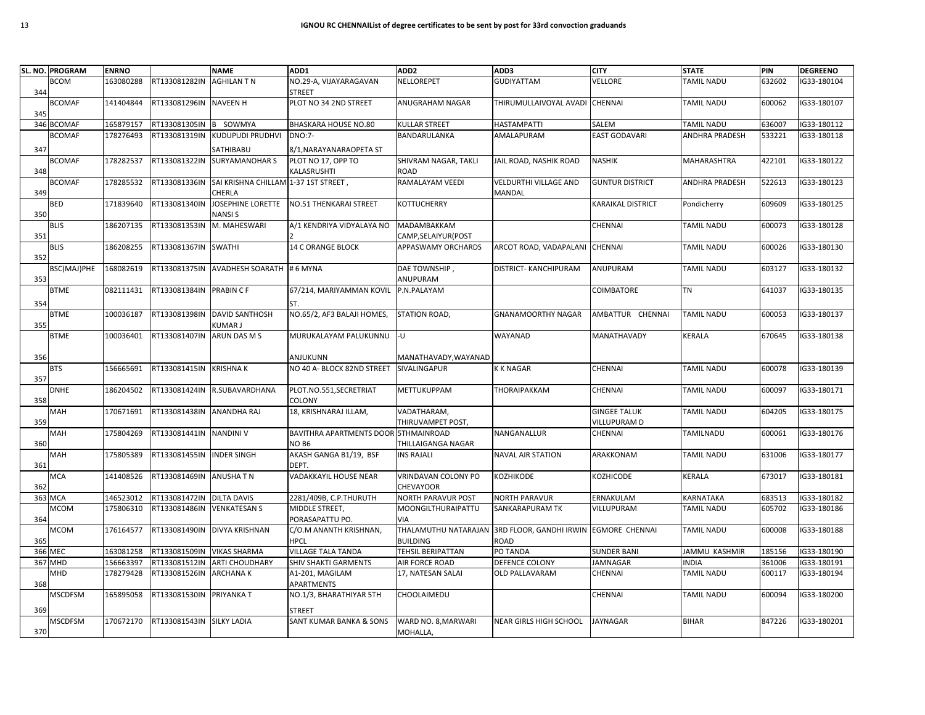|     | SL. NO. PROGRAM | <b>ENRNO</b> |                            | <b>NAME</b>                          | ADD1                                  | ADD <sub>2</sub>                        | ADD3                            | <b>CITY</b>              | <b>STATE</b>      | PIN    | <b>DEGREENO</b> |
|-----|-----------------|--------------|----------------------------|--------------------------------------|---------------------------------------|-----------------------------------------|---------------------------------|--------------------------|-------------------|--------|-----------------|
|     | <b>BCOM</b>     | 163080288    | RT133081282IN              | <b>AGHILAN T N</b>                   | NO.29-A, VIJAYARAGAVAN                | NELLOREPET                              | <b>GUDIYATTAM</b>               | VELLORE                  | TAMIL NADU        | 632602 | G33-180104      |
| 344 |                 |              |                            |                                      | <b>STREET</b>                         |                                         |                                 |                          |                   |        |                 |
|     | <b>BCOMAF</b>   | 141404844    | RT133081296IN NAVEEN H     |                                      | PLOT NO 34 2ND STREET                 | ANUGRAHAM NAGAR                         | THIRUMULLAIVOYAL AVADI          | <b>CHENNAI</b>           | <b>TAMIL NADU</b> | 600062 | G33-180107      |
| 345 |                 |              |                            |                                      |                                       |                                         |                                 |                          |                   |        |                 |
|     | 346 BCOMAF      | 165879157    | RT133081305IN              | <b>B</b> SOWMYA                      | <b>BHASKARA HOUSE NO.80</b>           | KULLAR STREET                           | <b>HASTAMPATTI</b>              | SALEM                    | TAMIL NADU        | 636007 | G33-180112      |
|     | <b>BCOMAF</b>   | 178276493    | RT133081319IN              | KUDUPUDI PRUDHVI                     | <b>DNO:7-</b>                         | BANDARULANKA                            | AMALAPURAM                      | <b>EAST GODAVARI</b>     | ANDHRA PRADESH    | 533221 | G33-180118      |
| 347 |                 |              |                            | SATHIBABU                            | 8/1, NARAYANARAOPETA ST               |                                         |                                 |                          |                   |        |                 |
|     | <b>BCOMAF</b>   | 178282537    | RT133081322IN              | <b>SURYAMANOHAR S</b>                | PLOT NO 17, OPP TO                    | SHIVRAM NAGAR, TAKLI                    | JAIL ROAD, NASHIK ROAD          | <b>NASHIK</b>            | MAHARASHTRA       | 422101 | IG33-180122     |
| 348 |                 |              |                            |                                      | KALASRUSHTI                           | ROAD                                    |                                 |                          |                   |        |                 |
|     | <b>BCOMAF</b>   | 178285532    | RT133081336IN              | SAI KRISHNA CHILLAM 1-37 1ST STREET, |                                       | RAMALAYAM VEEDI                         | <b>VELDURTHI VILLAGE AND</b>    | <b>GUNTUR DISTRICT</b>   | ANDHRA PRADESH    | 522613 | G33-180123      |
| 349 |                 |              |                            | CHERLA                               |                                       |                                         | MANDAL                          |                          |                   |        |                 |
|     | BED             | 171839640    | RT133081340IN              | <b>JOSEPHINE LORETTE</b>             | NO.51 THENKARAI STREET                | <b>KOTTUCHERRY</b>                      |                                 | <b>KARAIKAL DISTRICT</b> | Pondicherry       | 609609 | G33-180125      |
| 350 |                 |              |                            | <b>NANSIS</b>                        |                                       |                                         |                                 |                          |                   |        |                 |
|     | <b>BLIS</b>     | 186207135    | RT133081353IN M. MAHESWARI |                                      | A/1 KENDRIYA VIDYALAYA NO             | MADAMBAKKAM                             |                                 | CHENNAI                  | <b>TAMIL NADU</b> | 600073 | IG33-180128     |
| 351 |                 |              |                            |                                      |                                       | CAMP, SELAIYUR (POST                    |                                 |                          |                   |        |                 |
|     | <b>BLIS</b>     | 186208255    | RT133081367IN SWATHI       |                                      | <b>14 C ORANGE BLOCK</b>              | APPASWAMY ORCHARDS                      | ARCOT ROAD, VADAPALANI CHENNAI  |                          | <b>TAMIL NADU</b> | 600026 | IG33-180130     |
| 352 |                 |              |                            |                                      |                                       |                                         |                                 |                          |                   |        |                 |
|     | BSC(MAJ)PHE     | 168082619    | RT133081375IN              | AVADHESH SOARATH # 6 MYNA            |                                       | DAE TOWNSHIP,                           | DISTRICT- KANCHIPURAM           | ANUPURAM                 | <b>TAMIL NADU</b> | 603127 | G33-180132      |
| 353 |                 |              |                            |                                      |                                       | ANUPURAM                                |                                 |                          |                   |        |                 |
|     | <b>BTME</b>     | 082111431    | RT133081384IN PRABIN C F   |                                      | 67/214, MARIYAMMAN KOVIL              | P.N.PALAYAM                             |                                 | <b>COIMBATORE</b>        | <b>TN</b>         | 641037 | G33-180135      |
| 354 |                 |              |                            |                                      | ST.                                   |                                         |                                 |                          |                   |        |                 |
|     | <b>BTME</b>     | 100036187    | RT133081398IN              | <b>DAVID SANTHOSH</b>                | NO.65/2, AF3 BALAJI HOMES,            | STATION ROAD,                           | <b>GNANAMOORTHY NAGAR</b>       | AMBATTUR CHENNAI         | <b>TAMIL NADU</b> | 600053 | G33-180137      |
| 355 |                 |              |                            | KUMAR J                              |                                       |                                         |                                 |                          |                   |        |                 |
|     | <b>BTME</b>     | 100036401    | RT133081407IN              | ARUN DAS M S                         | MURUKALAYAM PALUKUNNU                 | -U                                      | WAYANAD                         | MANATHAVADY              | KERALA            | 670645 | G33-180138      |
|     |                 |              |                            |                                      |                                       |                                         |                                 |                          |                   |        |                 |
| 356 |                 |              |                            |                                      | ANJUKUNN                              | MANATHAVADY, WAYANAD                    |                                 |                          |                   |        |                 |
|     | <b>BTS</b>      | 156665691    | RT133081415IN KRISHNAK     |                                      | NO 40 A- BLOCK 82ND STREET            | <b>SIVALINGAPUR</b>                     | <b>K K NAGAR</b>                | <b>CHENNAI</b>           | <b>TAMIL NADU</b> | 600078 | IG33-180139     |
| 357 |                 |              |                            |                                      |                                       |                                         |                                 |                          |                   |        |                 |
|     | <b>DNHE</b>     | 186204502    |                            | RT133081424IN R.SUBAVARDHANA         | PLOT.NO.551,SECRETRIAT                | <b>METTUKUPPAM</b>                      | THORAIPAKKAM                    | <b>CHENNAI</b>           | TAMIL NADU        | 600097 | G33-180171      |
| 358 |                 |              |                            |                                      | COLONY                                |                                         |                                 |                          |                   |        |                 |
|     | MAH             | 170671691    | RT133081438IN ANANDHA RAJ  |                                      | 18, KRISHNARAJ ILLAM,                 | VADATHARAM,                             |                                 | <b>GINGEE TALUK</b>      | <b>TAMIL NADU</b> | 604205 | G33-180175      |
| 359 |                 |              |                            |                                      |                                       | THIRUVAMPET POST,                       |                                 | VILLUPURAM D             |                   |        |                 |
|     | MAH             | 175804269    | RT133081441IN NANDINI V    |                                      | BAVITHRA APARTMENTS DOOR STHMAINROAD  |                                         | NANGANALLUR                     | CHENNAI                  | TAMILNADU         | 600061 | G33-180176      |
| 360 |                 |              |                            |                                      | NO <sub>B6</sub>                      | THILLAIGANGA NAGAR                      |                                 |                          |                   |        |                 |
|     | MAH             | 175805389    | RT133081455IN INDER SINGH  |                                      | AKASH GANGA B1/19, BSF                | <b>INS RAJALI</b>                       | <b>NAVAL AIR STATION</b>        | ARAKKONAM                | <b>TAMIL NADU</b> | 631006 | IG33-180177     |
| 361 |                 |              |                            |                                      | DEPT.                                 |                                         |                                 |                          |                   |        |                 |
|     | <b>MCA</b>      | 141408526    | RT133081469IN ANUSHATN     |                                      | VADAKKAYIL HOUSE NEAR                 | VRINDAVAN COLONY PO                     | KOZHIKODE                       | KOZHICODE                | KERALA            | 673017 | IG33-180181     |
| 362 |                 |              |                            |                                      |                                       | <b>CHEVAYOOR</b>                        |                                 |                          |                   |        |                 |
| 363 | <b>MCA</b>      | 146523012    | RT133081472IN              | <b>DILTA DAVIS</b>                   | 2281/409B, C.P.THURUTH                | <b>NORTH PARAVUR POST</b>               | <b>NORTH PARAVUR</b>            | ERNAKULAM                | KARNATAKA         | 683513 | IG33-180182     |
|     | MCOM            | 175806310    | RT133081486IN VENKATESANS  |                                      | MIDDLE STREET,                        | MOONGILTHURAIPATTU<br><b>VIA</b>        | <b>SANKARAPURAM TK</b>          | VILLUPURAM               | <b>TAMIL NADU</b> | 605702 | G33-180186      |
| 364 |                 |              |                            |                                      | PORASAPATTU PO.                       |                                         |                                 |                          |                   |        |                 |
| 365 | <b>MCOM</b>     | 176164577    |                            | RT133081490IN DIVYA KRISHNAN         | C/O.M ANANTH KRISHNAN,<br><b>HPCL</b> | THALAMUTHU NATARAJAN<br><b>BUILDING</b> | 3RD FLOOR, GANDHI IRWIN<br>ROAD | <b>EGMORE CHENNAI</b>    | <b>TAMIL NADU</b> | 600008 | IG33-180188     |
|     | 366 MEC         | 163081258    | RT133081509IN VIKAS SHARMA |                                      | <b>VILLAGE TALA TANDA</b>             | <b>TEHSIL BERIPATTAN</b>                | PO TANDA                        | <b>SUNDER BANI</b>       | JAMMU KASHMIR     | 185156 | IG33-180190     |
|     | 367 MHD         | 156663397    | RT133081512IN              | <b>ARTI CHOUDHARY</b>                | <b>SHIV SHAKTI GARMENTS</b>           | AIR FORCE ROAD                          | <b>DEFENCE COLONY</b>           | <b>JAMNAGAR</b>          | <b>INDIA</b>      | 361006 | G33-180191      |
|     | MHD             | 178279428    | RT133081526IN              | <b>ARCHANAK</b>                      | A1-201, MAGILAM                       | 17, NATESAN SALAI                       | <b>OLD PALLAVARAM</b>           | CHENNAI                  | <b>TAMIL NADU</b> | 600117 | G33-180194      |
| 368 |                 |              |                            |                                      | <b>APARTMENTS</b>                     |                                         |                                 |                          |                   |        |                 |
|     | <b>MSCDFSM</b>  | 165895058    | RT133081530IN PRIYANKA T   |                                      | NO.1/3, BHARATHIYAR 5TH               | CHOOLAIMEDU                             |                                 | <b>CHENNAI</b>           | <b>TAMIL NADU</b> | 600094 | G33-180200      |
|     |                 |              |                            |                                      |                                       |                                         |                                 |                          |                   |        |                 |
| 369 |                 |              |                            |                                      | <b>STREET</b>                         |                                         |                                 |                          |                   |        |                 |
|     | <b>MSCDFSM</b>  | 170672170    | RT133081543IN SILKY LADIA  |                                      | SANT KUMAR BANKA & SONS               | WARD NO. 8, MARWARI                     | NEAR GIRLS HIGH SCHOOL          | <b>JAYNAGAR</b>          | <b>BIHAR</b>      | 847226 | IG33-180201     |
| 370 |                 |              |                            |                                      |                                       | MOHALLA,                                |                                 |                          |                   |        |                 |